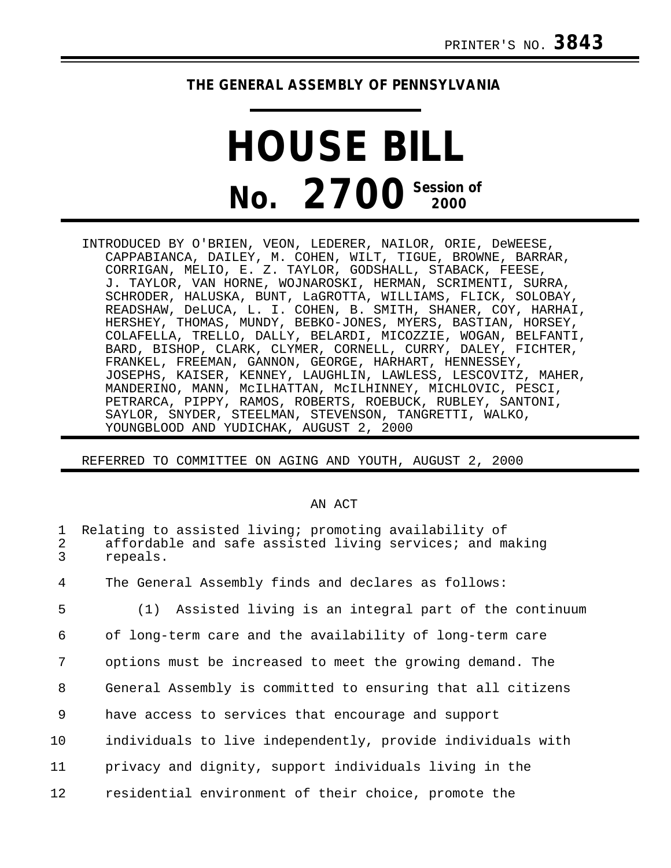## **THE GENERAL ASSEMBLY OF PENNSYLVANIA**

## **HOUSE BILL No. 2700 Session of**

INTRODUCED BY O'BRIEN, VEON, LEDERER, NAILOR, ORIE, DeWEESE, CAPPABIANCA, DAILEY, M. COHEN, WILT, TIGUE, BROWNE, BARRAR, CORRIGAN, MELIO, E. Z. TAYLOR, GODSHALL, STABACK, FEESE, J. TAYLOR, VAN HORNE, WOJNAROSKI, HERMAN, SCRIMENTI, SURRA, SCHRODER, HALUSKA, BUNT, LaGROTTA, WILLIAMS, FLICK, SOLOBAY, READSHAW, DeLUCA, L. I. COHEN, B. SMITH, SHANER, COY, HARHAI, HERSHEY, THOMAS, MUNDY, BEBKO-JONES, MYERS, BASTIAN, HORSEY, COLAFELLA, TRELLO, DALLY, BELARDI, MICOZZIE, WOGAN, BELFANTI, BARD, BISHOP, CLARK, CLYMER, CORNELL, CURRY, DALEY, FICHTER, FRANKEL, FREEMAN, GANNON, GEORGE, HARHART, HENNESSEY, JOSEPHS, KAISER, KENNEY, LAUGHLIN, LAWLESS, LESCOVITZ, MAHER, MANDERINO, MANN, McILHATTAN, McILHINNEY, MICHLOVIC, PESCI, PETRARCA, PIPPY, RAMOS, ROBERTS, ROEBUCK, RUBLEY, SANTONI, SAYLOR, SNYDER, STEELMAN, STEVENSON, TANGRETTI, WALKO, YOUNGBLOOD AND YUDICHAK, AUGUST 2, 2000

REFERRED TO COMMITTEE ON AGING AND YOUTH, AUGUST 2, 2000

## AN ACT

| 1<br>2<br>$\overline{3}$ | Relating to assisted living; promoting availability of<br>affordable and safe assisted living services; and making<br>repeals. |
|--------------------------|--------------------------------------------------------------------------------------------------------------------------------|
| 4                        | The General Assembly finds and declares as follows:                                                                            |
| 5                        | (1) Assisted living is an integral part of the continuum                                                                       |
| 6                        | of long-term care and the availability of long-term care                                                                       |
| 7                        | options must be increased to meet the growing demand. The                                                                      |
| 8                        | General Assembly is committed to ensuring that all citizens                                                                    |
| 9                        | have access to services that encourage and support                                                                             |
| 10                       | individuals to live independently, provide individuals with                                                                    |
| 11                       | privacy and dignity, support individuals living in the                                                                         |
| 12                       | residential environment of their choice, promote the                                                                           |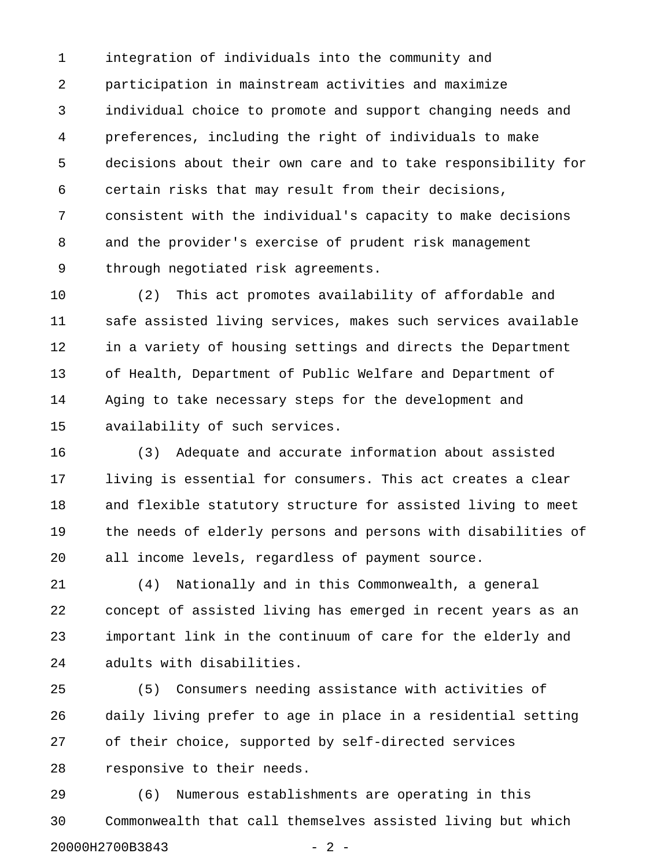1 integration of individuals into the community and 2 participation in mainstream activities and maximize 3 individual choice to promote and support changing needs and 4 preferences, including the right of individuals to make 5 decisions about their own care and to take responsibility for 6 certain risks that may result from their decisions, 7 consistent with the individual's capacity to make decisions 8 and the provider's exercise of prudent risk management 9 through negotiated risk agreements.

10 (2) This act promotes availability of affordable and 11 safe assisted living services, makes such services available 12 in a variety of housing settings and directs the Department 13 of Health, Department of Public Welfare and Department of 14 Aging to take necessary steps for the development and 15 availability of such services.

16 (3) Adequate and accurate information about assisted 17 living is essential for consumers. This act creates a clear 18 and flexible statutory structure for assisted living to meet 19 the needs of elderly persons and persons with disabilities of 20 all income levels, regardless of payment source.

21 (4) Nationally and in this Commonwealth, a general 22 concept of assisted living has emerged in recent years as an 23 important link in the continuum of care for the elderly and 24 adults with disabilities.

25 (5) Consumers needing assistance with activities of 26 daily living prefer to age in place in a residential setting 27 of their choice, supported by self-directed services 28 responsive to their needs.

29 (6) Numerous establishments are operating in this 30 Commonwealth that call themselves assisted living but which 20000H2700B3843 - 2 -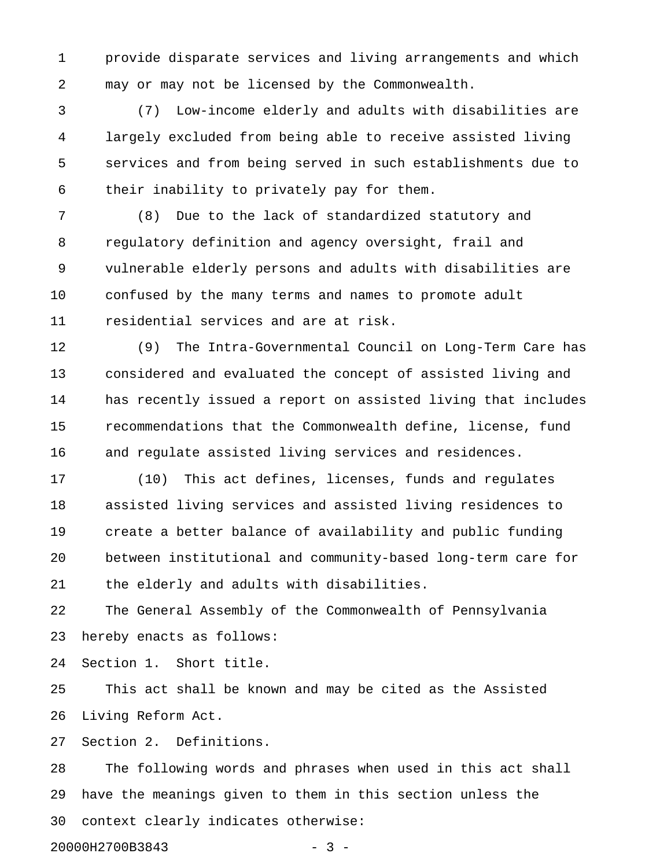1 provide disparate services and living arrangements and which 2 may or may not be licensed by the Commonwealth.

3 (7) Low-income elderly and adults with disabilities are 4 largely excluded from being able to receive assisted living 5 services and from being served in such establishments due to 6 their inability to privately pay for them.

7 (8) Due to the lack of standardized statutory and 8 regulatory definition and agency oversight, frail and 9 vulnerable elderly persons and adults with disabilities are 10 confused by the many terms and names to promote adult 11 residential services and are at risk.

12 (9) The Intra-Governmental Council on Long-Term Care has 13 considered and evaluated the concept of assisted living and 14 has recently issued a report on assisted living that includes 15 recommendations that the Commonwealth define, license, fund 16 and regulate assisted living services and residences.

17 (10) This act defines, licenses, funds and regulates 18 assisted living services and assisted living residences to 19 create a better balance of availability and public funding 20 between institutional and community-based long-term care for 21 the elderly and adults with disabilities.

22 The General Assembly of the Commonwealth of Pennsylvania 23 hereby enacts as follows:

24 Section 1. Short title.

25 This act shall be known and may be cited as the Assisted 26 Living Reform Act.

27 Section 2. Definitions.

28 The following words and phrases when used in this act shall 29 have the meanings given to them in this section unless the 30 context clearly indicates otherwise:

20000H2700B3843 - 3 -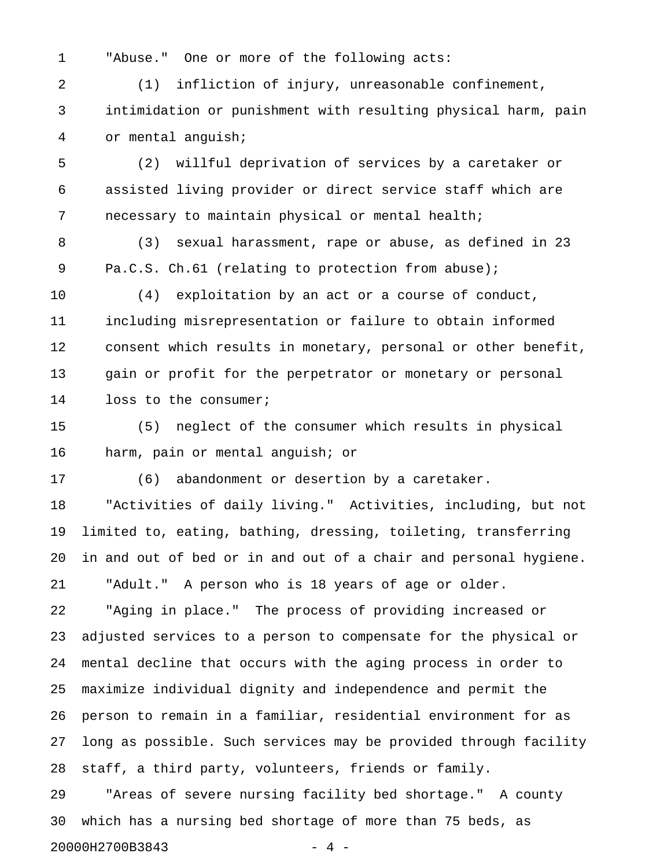1 "Abuse." One or more of the following acts:

2 (1) infliction of injury, unreasonable confinement, 3 intimidation or punishment with resulting physical harm, pain 4 or mental anguish;

5 (2) willful deprivation of services by a caretaker or 6 assisted living provider or direct service staff which are 7 necessary to maintain physical or mental health;

8 (3) sexual harassment, rape or abuse, as defined in 23 9 Pa.C.S. Ch.61 (relating to protection from abuse);

10 (4) exploitation by an act or a course of conduct, 11 including misrepresentation or failure to obtain informed 12 consent which results in monetary, personal or other benefit, 13 gain or profit for the perpetrator or monetary or personal 14 loss to the consumer;

15 (5) neglect of the consumer which results in physical 16 harm, pain or mental anguish; or

17 (6) abandonment or desertion by a caretaker.

18 "Activities of daily living." Activities, including, but not 19 limited to, eating, bathing, dressing, toileting, transferring 20 in and out of bed or in and out of a chair and personal hygiene. 21 "Adult." A person who is 18 years of age or older.

22 "Aging in place." The process of providing increased or 23 adjusted services to a person to compensate for the physical or 24 mental decline that occurs with the aging process in order to 25 maximize individual dignity and independence and permit the 26 person to remain in a familiar, residential environment for as 27 long as possible. Such services may be provided through facility 28 staff, a third party, volunteers, friends or family.

29 "Areas of severe nursing facility bed shortage." A county 30 which has a nursing bed shortage of more than 75 beds, as 20000H2700B3843 - 4 -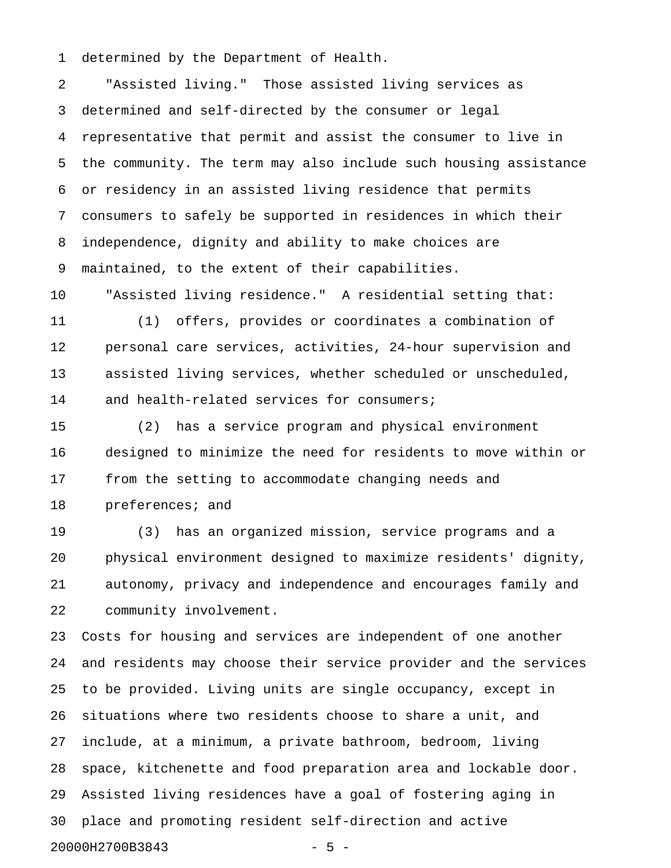1 determined by the Department of Health.

2 "Assisted living." Those assisted living services as 3 determined and self-directed by the consumer or legal 4 representative that permit and assist the consumer to live in 5 the community. The term may also include such housing assistance 6 or residency in an assisted living residence that permits 7 consumers to safely be supported in residences in which their 8 independence, dignity and ability to make choices are 9 maintained, to the extent of their capabilities.

10 "Assisted living residence." A residential setting that: 11 (1) offers, provides or coordinates a combination of 12 personal care services, activities, 24-hour supervision and 13 assisted living services, whether scheduled or unscheduled, 14 and health-related services for consumers;

15 (2) has a service program and physical environment 16 designed to minimize the need for residents to move within or 17 from the setting to accommodate changing needs and 18 preferences; and

19 (3) has an organized mission, service programs and a 20 physical environment designed to maximize residents' dignity, 21 autonomy, privacy and independence and encourages family and 22 community involvement.

23 Costs for housing and services are independent of one another 24 and residents may choose their service provider and the services 25 to be provided. Living units are single occupancy, except in 26 situations where two residents choose to share a unit, and 27 include, at a minimum, a private bathroom, bedroom, living 28 space, kitchenette and food preparation area and lockable door. 29 Assisted living residences have a goal of fostering aging in 30 place and promoting resident self-direction and active 20000H2700B3843 - 5 -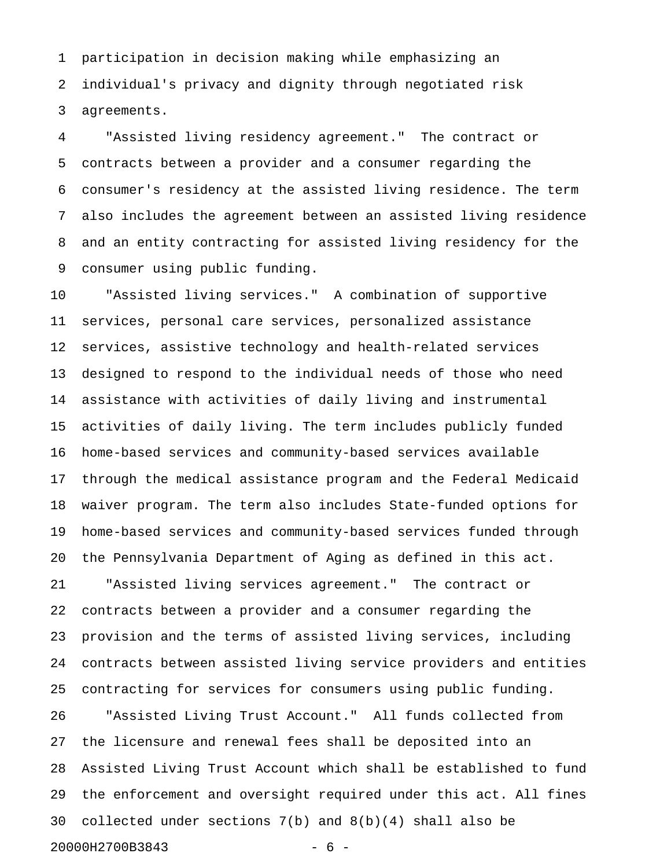1 participation in decision making while emphasizing an 2 individual's privacy and dignity through negotiated risk 3 agreements.

4 "Assisted living residency agreement." The contract or 5 contracts between a provider and a consumer regarding the 6 consumer's residency at the assisted living residence. The term 7 also includes the agreement between an assisted living residence 8 and an entity contracting for assisted living residency for the 9 consumer using public funding.

10 "Assisted living services." A combination of supportive 11 services, personal care services, personalized assistance 12 services, assistive technology and health-related services 13 designed to respond to the individual needs of those who need 14 assistance with activities of daily living and instrumental 15 activities of daily living. The term includes publicly funded 16 home-based services and community-based services available 17 through the medical assistance program and the Federal Medicaid 18 waiver program. The term also includes State-funded options for 19 home-based services and community-based services funded through 20 the Pennsylvania Department of Aging as defined in this act.

21 "Assisted living services agreement." The contract or 22 contracts between a provider and a consumer regarding the 23 provision and the terms of assisted living services, including 24 contracts between assisted living service providers and entities 25 contracting for services for consumers using public funding.

26 "Assisted Living Trust Account." All funds collected from 27 the licensure and renewal fees shall be deposited into an 28 Assisted Living Trust Account which shall be established to fund 29 the enforcement and oversight required under this act. All fines 30 collected under sections 7(b) and 8(b)(4) shall also be 20000H2700B3843 - 6 -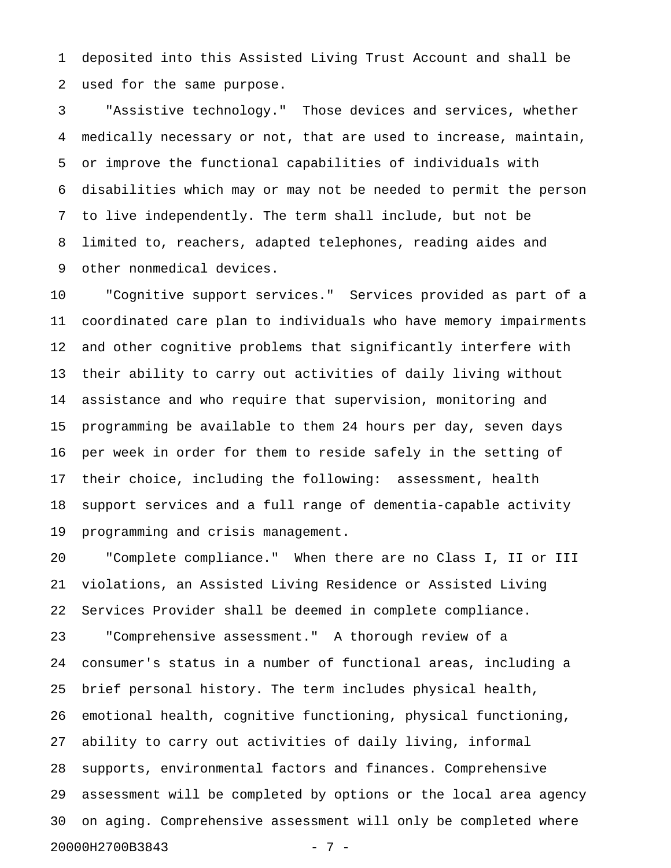1 deposited into this Assisted Living Trust Account and shall be 2 used for the same purpose.

3 "Assistive technology." Those devices and services, whether 4 medically necessary or not, that are used to increase, maintain, 5 or improve the functional capabilities of individuals with 6 disabilities which may or may not be needed to permit the person 7 to live independently. The term shall include, but not be 8 limited to, reachers, adapted telephones, reading aides and 9 other nonmedical devices.

10 "Cognitive support services." Services provided as part of a 11 coordinated care plan to individuals who have memory impairments 12 and other cognitive problems that significantly interfere with 13 their ability to carry out activities of daily living without 14 assistance and who require that supervision, monitoring and 15 programming be available to them 24 hours per day, seven days 16 per week in order for them to reside safely in the setting of 17 their choice, including the following: assessment, health 18 support services and a full range of dementia-capable activity 19 programming and crisis management.

20 "Complete compliance." When there are no Class I, II or III 21 violations, an Assisted Living Residence or Assisted Living 22 Services Provider shall be deemed in complete compliance. 23 "Comprehensive assessment." A thorough review of a 24 consumer's status in a number of functional areas, including a 25 brief personal history. The term includes physical health, 26 emotional health, cognitive functioning, physical functioning, 27 ability to carry out activities of daily living, informal 28 supports, environmental factors and finances. Comprehensive 29 assessment will be completed by options or the local area agency 30 on aging. Comprehensive assessment will only be completed where 20000H2700B3843 - 7 -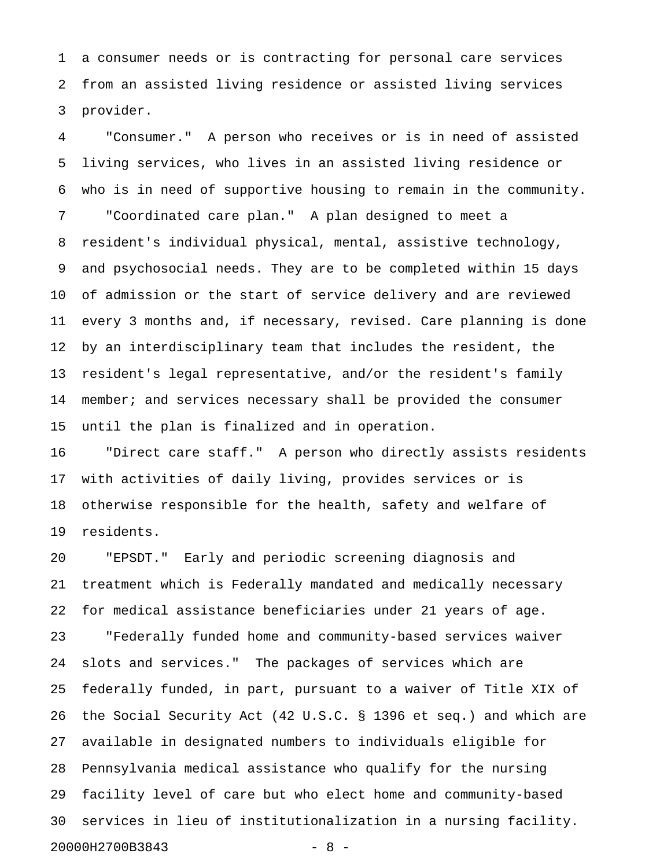1 a consumer needs or is contracting for personal care services 2 from an assisted living residence or assisted living services 3 provider.

4 "Consumer." A person who receives or is in need of assisted 5 living services, who lives in an assisted living residence or 6 who is in need of supportive housing to remain in the community. 7 "Coordinated care plan." A plan designed to meet a 8 resident's individual physical, mental, assistive technology, 9 and psychosocial needs. They are to be completed within 15 days 10 of admission or the start of service delivery and are reviewed 11 every 3 months and, if necessary, revised. Care planning is done 12 by an interdisciplinary team that includes the resident, the 13 resident's legal representative, and/or the resident's family 14 member; and services necessary shall be provided the consumer 15 until the plan is finalized and in operation.

16 "Direct care staff." A person who directly assists residents 17 with activities of daily living, provides services or is 18 otherwise responsible for the health, safety and welfare of 19 residents.

20 "EPSDT." Early and periodic screening diagnosis and 21 treatment which is Federally mandated and medically necessary 22 for medical assistance beneficiaries under 21 years of age. 23 "Federally funded home and community-based services waiver 24 slots and services." The packages of services which are 25 federally funded, in part, pursuant to a waiver of Title XIX of 26 the Social Security Act (42 U.S.C. § 1396 et seq.) and which are 27 available in designated numbers to individuals eligible for 28 Pennsylvania medical assistance who qualify for the nursing 29 facility level of care but who elect home and community-based 30 services in lieu of institutionalization in a nursing facility. 20000H2700B3843 - 8 -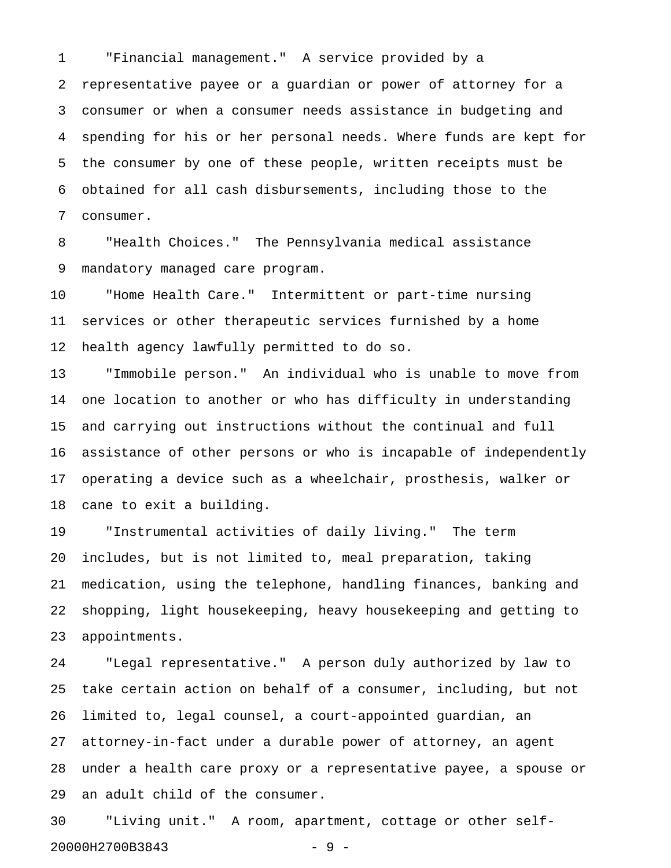1 "Financial management." A service provided by a 2 representative payee or a guardian or power of attorney for a 3 consumer or when a consumer needs assistance in budgeting and 4 spending for his or her personal needs. Where funds are kept for 5 the consumer by one of these people, written receipts must be 6 obtained for all cash disbursements, including those to the 7 consumer.

8 "Health Choices." The Pennsylvania medical assistance 9 mandatory managed care program.

10 "Home Health Care." Intermittent or part-time nursing 11 services or other therapeutic services furnished by a home 12 health agency lawfully permitted to do so.

13 "Immobile person." An individual who is unable to move from 14 one location to another or who has difficulty in understanding 15 and carrying out instructions without the continual and full 16 assistance of other persons or who is incapable of independently 17 operating a device such as a wheelchair, prosthesis, walker or 18 cane to exit a building.

19 "Instrumental activities of daily living." The term 20 includes, but is not limited to, meal preparation, taking 21 medication, using the telephone, handling finances, banking and 22 shopping, light housekeeping, heavy housekeeping and getting to 23 appointments.

24 "Legal representative." A person duly authorized by law to 25 take certain action on behalf of a consumer, including, but not 26 limited to, legal counsel, a court-appointed guardian, an 27 attorney-in-fact under a durable power of attorney, an agent 28 under a health care proxy or a representative payee, a spouse or 29 an adult child of the consumer.

30 "Living unit." A room, apartment, cottage or other self-20000H2700B3843 - 9 -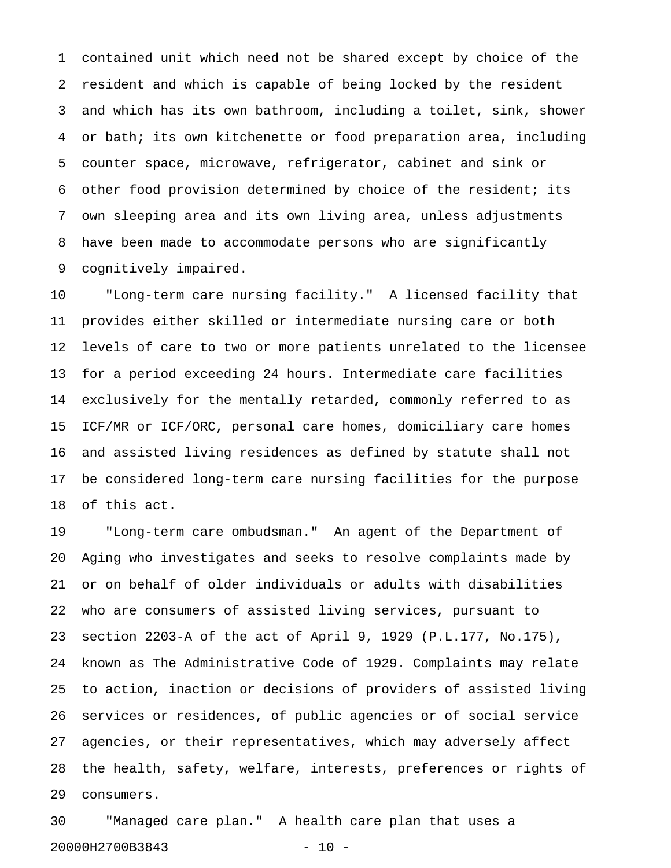1 contained unit which need not be shared except by choice of the 2 resident and which is capable of being locked by the resident 3 and which has its own bathroom, including a toilet, sink, shower 4 or bath; its own kitchenette or food preparation area, including 5 counter space, microwave, refrigerator, cabinet and sink or 6 other food provision determined by choice of the resident; its 7 own sleeping area and its own living area, unless adjustments 8 have been made to accommodate persons who are significantly 9 cognitively impaired.

10 "Long-term care nursing facility." A licensed facility that 11 provides either skilled or intermediate nursing care or both 12 levels of care to two or more patients unrelated to the licensee 13 for a period exceeding 24 hours. Intermediate care facilities 14 exclusively for the mentally retarded, commonly referred to as 15 ICF/MR or ICF/ORC, personal care homes, domiciliary care homes 16 and assisted living residences as defined by statute shall not 17 be considered long-term care nursing facilities for the purpose 18 of this act.

19 "Long-term care ombudsman." An agent of the Department of 20 Aging who investigates and seeks to resolve complaints made by 21 or on behalf of older individuals or adults with disabilities 22 who are consumers of assisted living services, pursuant to 23 section 2203-A of the act of April 9, 1929 (P.L.177, No.175), 24 known as The Administrative Code of 1929. Complaints may relate 25 to action, inaction or decisions of providers of assisted living 26 services or residences, of public agencies or of social service 27 agencies, or their representatives, which may adversely affect 28 the health, safety, welfare, interests, preferences or rights of 29 consumers.

30 "Managed care plan." A health care plan that uses a 20000H2700B3843 - 10 -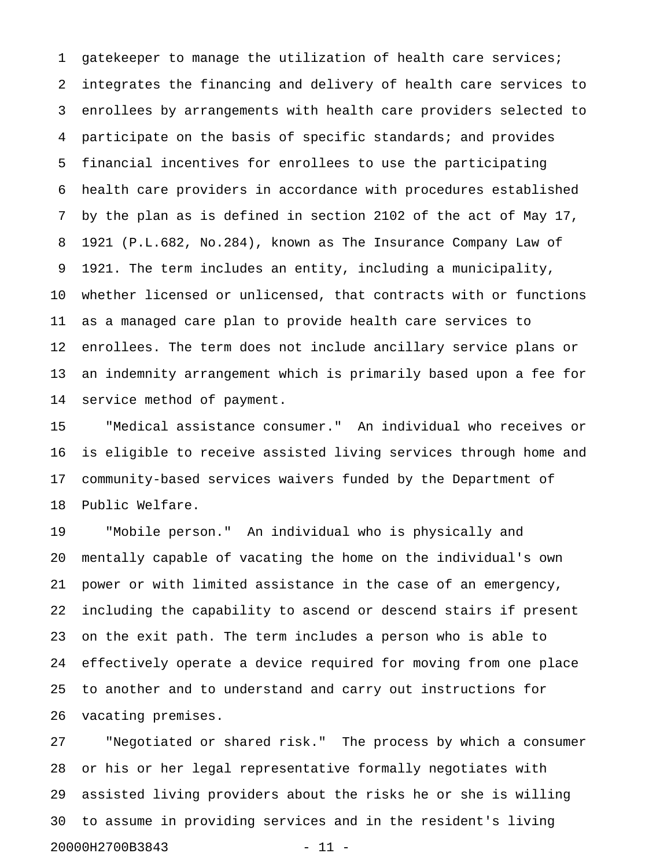1 gatekeeper to manage the utilization of health care services; 2 integrates the financing and delivery of health care services to 3 enrollees by arrangements with health care providers selected to 4 participate on the basis of specific standards; and provides 5 financial incentives for enrollees to use the participating 6 health care providers in accordance with procedures established 7 by the plan as is defined in section 2102 of the act of May 17, 8 1921 (P.L.682, No.284), known as The Insurance Company Law of 9 1921. The term includes an entity, including a municipality, 10 whether licensed or unlicensed, that contracts with or functions 11 as a managed care plan to provide health care services to 12 enrollees. The term does not include ancillary service plans or 13 an indemnity arrangement which is primarily based upon a fee for 14 service method of payment.

15 "Medical assistance consumer." An individual who receives or 16 is eligible to receive assisted living services through home and 17 community-based services waivers funded by the Department of 18 Public Welfare.

19 "Mobile person." An individual who is physically and 20 mentally capable of vacating the home on the individual's own 21 power or with limited assistance in the case of an emergency, 22 including the capability to ascend or descend stairs if present 23 on the exit path. The term includes a person who is able to 24 effectively operate a device required for moving from one place 25 to another and to understand and carry out instructions for 26 vacating premises.

27 "Negotiated or shared risk." The process by which a consumer 28 or his or her legal representative formally negotiates with 29 assisted living providers about the risks he or she is willing 30 to assume in providing services and in the resident's living 20000H2700B3843 - 11 -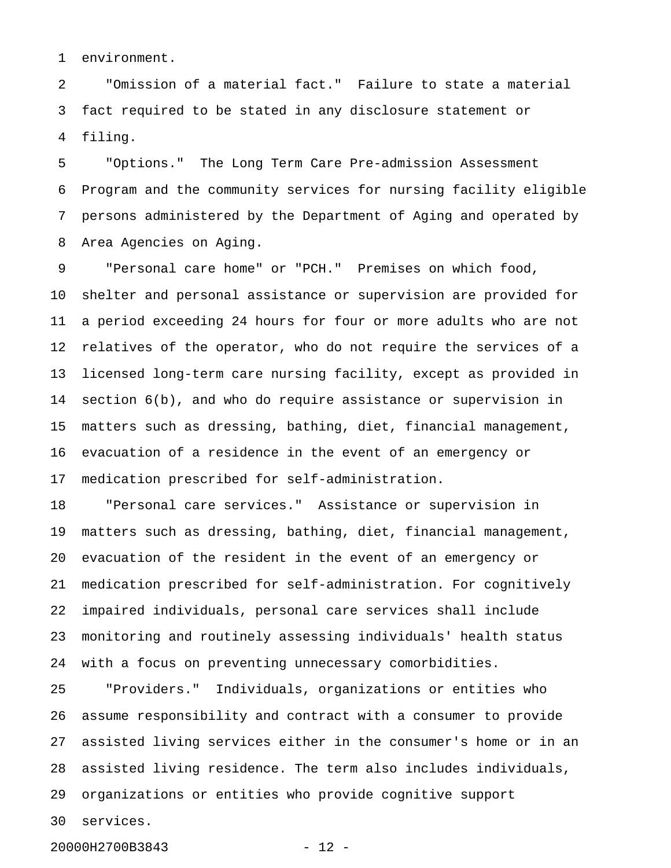1 environment.

2 "Omission of a material fact." Failure to state a material 3 fact required to be stated in any disclosure statement or 4 filing.

5 "Options." The Long Term Care Pre-admission Assessment 6 Program and the community services for nursing facility eligible 7 persons administered by the Department of Aging and operated by 8 Area Agencies on Aging.

9 "Personal care home" or "PCH." Premises on which food, 10 shelter and personal assistance or supervision are provided for 11 a period exceeding 24 hours for four or more adults who are not 12 relatives of the operator, who do not require the services of a 13 licensed long-term care nursing facility, except as provided in 14 section 6(b), and who do require assistance or supervision in 15 matters such as dressing, bathing, diet, financial management, 16 evacuation of a residence in the event of an emergency or 17 medication prescribed for self-administration.

18 "Personal care services." Assistance or supervision in 19 matters such as dressing, bathing, diet, financial management, 20 evacuation of the resident in the event of an emergency or 21 medication prescribed for self-administration. For cognitively 22 impaired individuals, personal care services shall include 23 monitoring and routinely assessing individuals' health status 24 with a focus on preventing unnecessary comorbidities.

25 "Providers." Individuals, organizations or entities who 26 assume responsibility and contract with a consumer to provide 27 assisted living services either in the consumer's home or in an 28 assisted living residence. The term also includes individuals, 29 organizations or entities who provide cognitive support 30 services.

20000H2700B3843 - 12 -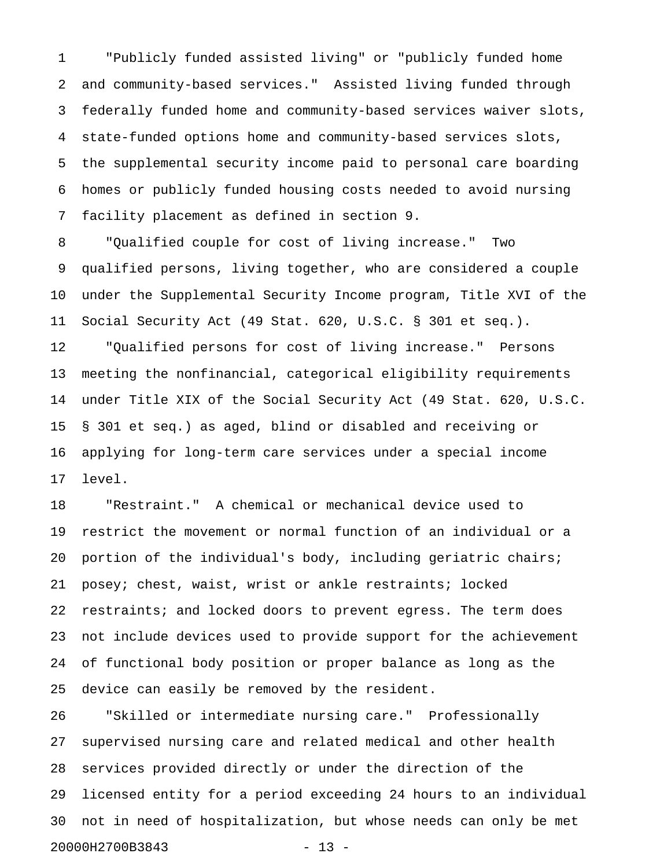1 "Publicly funded assisted living" or "publicly funded home 2 and community-based services." Assisted living funded through 3 federally funded home and community-based services waiver slots, 4 state-funded options home and community-based services slots, 5 the supplemental security income paid to personal care boarding 6 homes or publicly funded housing costs needed to avoid nursing 7 facility placement as defined in section 9.

8 "Qualified couple for cost of living increase." Two 9 qualified persons, living together, who are considered a couple 10 under the Supplemental Security Income program, Title XVI of the 11 Social Security Act (49 Stat. 620, U.S.C. § 301 et seq.). 12 "Qualified persons for cost of living increase." Persons 13 meeting the nonfinancial, categorical eligibility requirements 14 under Title XIX of the Social Security Act (49 Stat. 620, U.S.C. 15 § 301 et seq.) as aged, blind or disabled and receiving or 16 applying for long-term care services under a special income 17 level.

18 "Restraint." A chemical or mechanical device used to 19 restrict the movement or normal function of an individual or a 20 portion of the individual's body, including geriatric chairs; 21 posey; chest, waist, wrist or ankle restraints; locked 22 restraints; and locked doors to prevent egress. The term does 23 not include devices used to provide support for the achievement 24 of functional body position or proper balance as long as the 25 device can easily be removed by the resident.

26 "Skilled or intermediate nursing care." Professionally 27 supervised nursing care and related medical and other health 28 services provided directly or under the direction of the 29 licensed entity for a period exceeding 24 hours to an individual 30 not in need of hospitalization, but whose needs can only be met 20000H2700B3843 - 13 -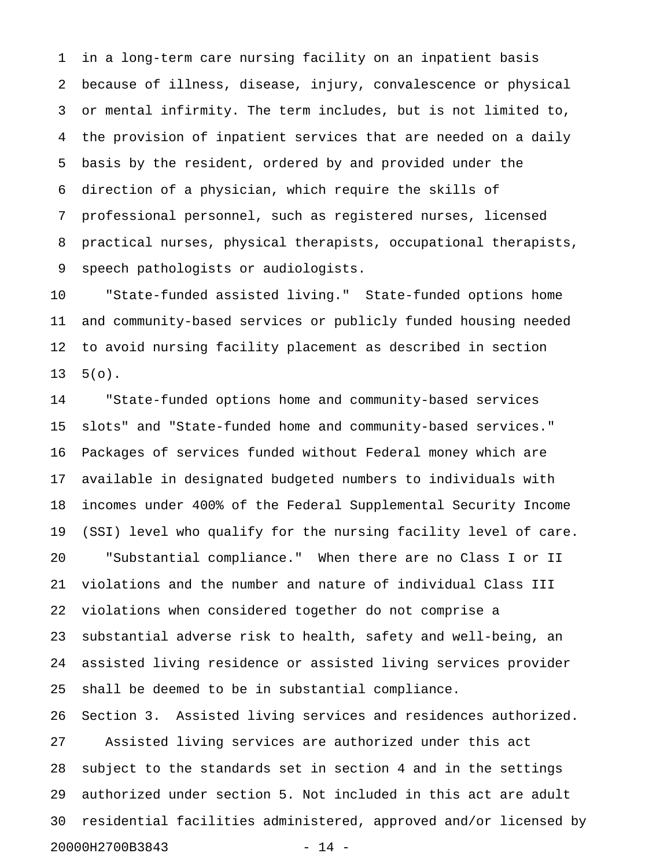1 in a long-term care nursing facility on an inpatient basis 2 because of illness, disease, injury, convalescence or physical 3 or mental infirmity. The term includes, but is not limited to, 4 the provision of inpatient services that are needed on a daily 5 basis by the resident, ordered by and provided under the 6 direction of a physician, which require the skills of 7 professional personnel, such as registered nurses, licensed 8 practical nurses, physical therapists, occupational therapists, 9 speech pathologists or audiologists.

10 "State-funded assisted living." State-funded options home 11 and community-based services or publicly funded housing needed 12 to avoid nursing facility placement as described in section  $13 \quad 5(0)$ .

14 "State-funded options home and community-based services 15 slots" and "State-funded home and community-based services." 16 Packages of services funded without Federal money which are 17 available in designated budgeted numbers to individuals with 18 incomes under 400% of the Federal Supplemental Security Income 19 (SSI) level who qualify for the nursing facility level of care. 20 "Substantial compliance." When there are no Class I or II 21 violations and the number and nature of individual Class III 22 violations when considered together do not comprise a 23 substantial adverse risk to health, safety and well-being, an 24 assisted living residence or assisted living services provider 25 shall be deemed to be in substantial compliance. 26 Section 3. Assisted living services and residences authorized. 27 Assisted living services are authorized under this act 28 subject to the standards set in section 4 and in the settings 29 authorized under section 5. Not included in this act are adult

20000H2700B3843 - 14 -

30 residential facilities administered, approved and/or licensed by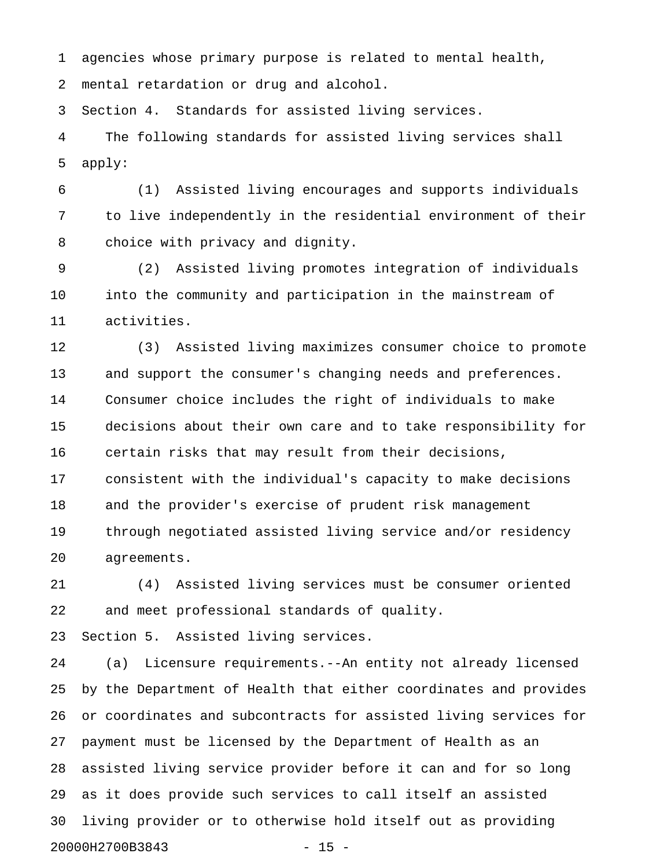1 agencies whose primary purpose is related to mental health, 2 mental retardation or drug and alcohol.

3 Section 4. Standards for assisted living services.

4 The following standards for assisted living services shall 5 apply:

6 (1) Assisted living encourages and supports individuals 7 to live independently in the residential environment of their 8 choice with privacy and dignity.

9 (2) Assisted living promotes integration of individuals 10 into the community and participation in the mainstream of 11 activities.

12 (3) Assisted living maximizes consumer choice to promote 13 and support the consumer's changing needs and preferences. 14 Consumer choice includes the right of individuals to make 15 decisions about their own care and to take responsibility for 16 certain risks that may result from their decisions, 17 consistent with the individual's capacity to make decisions 18 and the provider's exercise of prudent risk management 19 through negotiated assisted living service and/or residency 20 agreements.

21 (4) Assisted living services must be consumer oriented 22 and meet professional standards of quality.

23 Section 5. Assisted living services.

24 (a) Licensure requirements.--An entity not already licensed 25 by the Department of Health that either coordinates and provides 26 or coordinates and subcontracts for assisted living services for 27 payment must be licensed by the Department of Health as an 28 assisted living service provider before it can and for so long 29 as it does provide such services to call itself an assisted 30 living provider or to otherwise hold itself out as providing 20000H2700B3843 - 15 -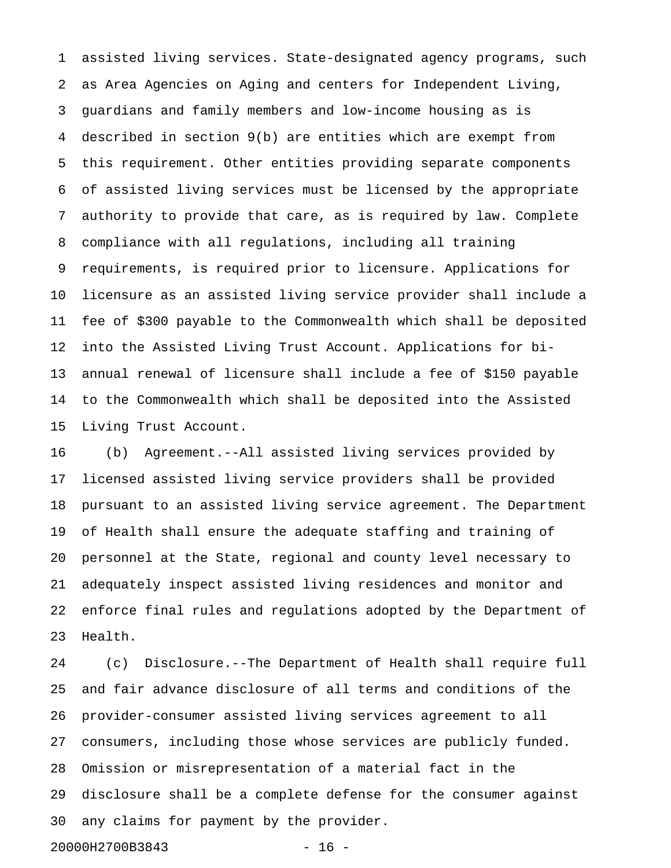1 assisted living services. State-designated agency programs, such 2 as Area Agencies on Aging and centers for Independent Living, 3 guardians and family members and low-income housing as is 4 described in section 9(b) are entities which are exempt from 5 this requirement. Other entities providing separate components 6 of assisted living services must be licensed by the appropriate 7 authority to provide that care, as is required by law. Complete 8 compliance with all regulations, including all training 9 requirements, is required prior to licensure. Applications for 10 licensure as an assisted living service provider shall include a 11 fee of \$300 payable to the Commonwealth which shall be deposited 12 into the Assisted Living Trust Account. Applications for bi-13 annual renewal of licensure shall include a fee of \$150 payable 14 to the Commonwealth which shall be deposited into the Assisted 15 Living Trust Account.

16 (b) Agreement.--All assisted living services provided by 17 licensed assisted living service providers shall be provided 18 pursuant to an assisted living service agreement. The Department 19 of Health shall ensure the adequate staffing and training of 20 personnel at the State, regional and county level necessary to 21 adequately inspect assisted living residences and monitor and 22 enforce final rules and regulations adopted by the Department of 23 Health.

24 (c) Disclosure.--The Department of Health shall require full 25 and fair advance disclosure of all terms and conditions of the 26 provider-consumer assisted living services agreement to all 27 consumers, including those whose services are publicly funded. 28 Omission or misrepresentation of a material fact in the 29 disclosure shall be a complete defense for the consumer against 30 any claims for payment by the provider. 20000H2700B3843 - 16 -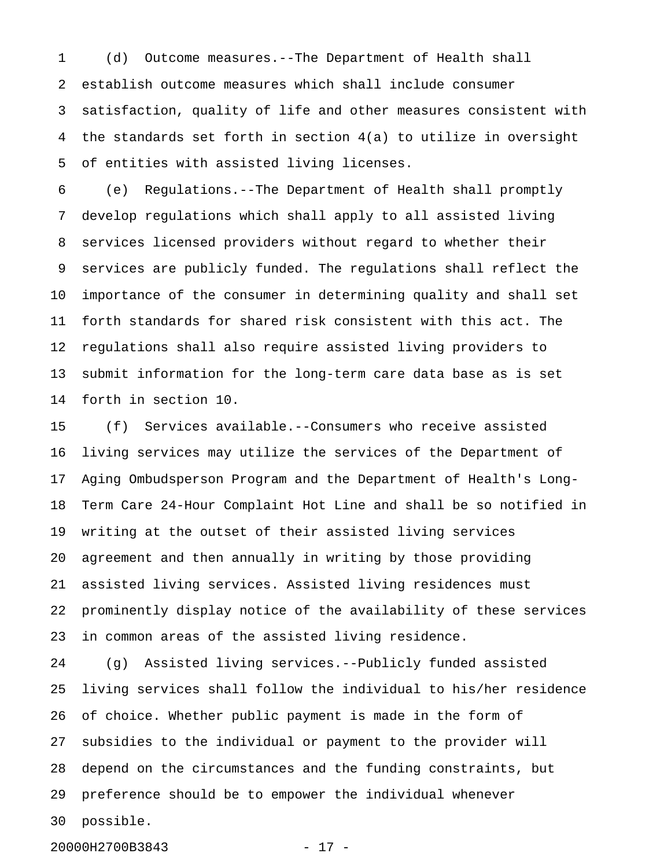1 (d) Outcome measures.--The Department of Health shall 2 establish outcome measures which shall include consumer 3 satisfaction, quality of life and other measures consistent with 4 the standards set forth in section 4(a) to utilize in oversight 5 of entities with assisted living licenses.

6 (e) Regulations.--The Department of Health shall promptly 7 develop regulations which shall apply to all assisted living 8 services licensed providers without regard to whether their 9 services are publicly funded. The regulations shall reflect the 10 importance of the consumer in determining quality and shall set 11 forth standards for shared risk consistent with this act. The 12 regulations shall also require assisted living providers to 13 submit information for the long-term care data base as is set 14 forth in section 10.

15 (f) Services available.--Consumers who receive assisted 16 living services may utilize the services of the Department of 17 Aging Ombudsperson Program and the Department of Health's Long-18 Term Care 24-Hour Complaint Hot Line and shall be so notified in 19 writing at the outset of their assisted living services 20 agreement and then annually in writing by those providing 21 assisted living services. Assisted living residences must 22 prominently display notice of the availability of these services 23 in common areas of the assisted living residence.

24 (g) Assisted living services.--Publicly funded assisted 25 living services shall follow the individual to his/her residence 26 of choice. Whether public payment is made in the form of 27 subsidies to the individual or payment to the provider will 28 depend on the circumstances and the funding constraints, but 29 preference should be to empower the individual whenever 30 possible.

20000H2700B3843 - 17 -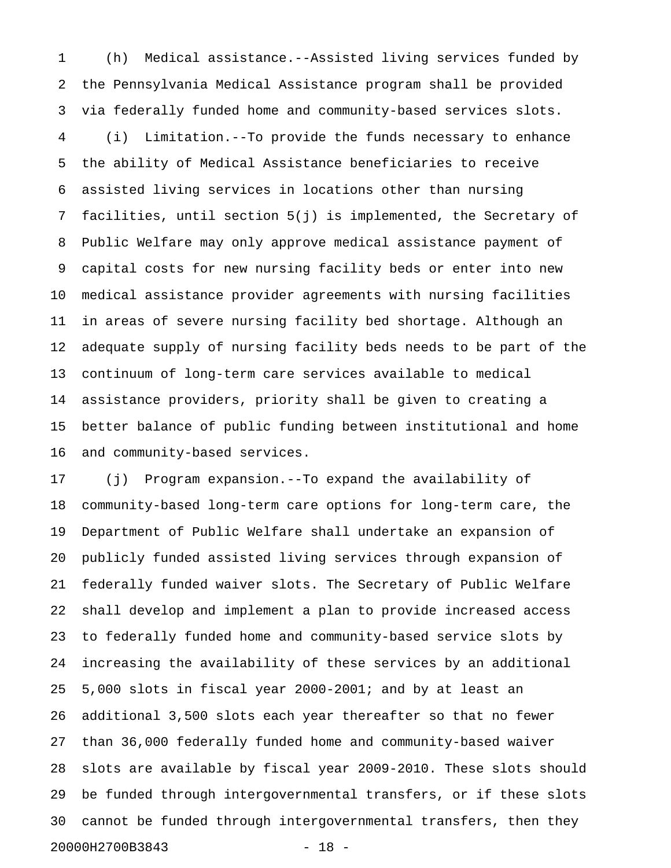1 (h) Medical assistance.--Assisted living services funded by 2 the Pennsylvania Medical Assistance program shall be provided 3 via federally funded home and community-based services slots. 4 (i) Limitation.--To provide the funds necessary to enhance 5 the ability of Medical Assistance beneficiaries to receive 6 assisted living services in locations other than nursing 7 facilities, until section 5(j) is implemented, the Secretary of 8 Public Welfare may only approve medical assistance payment of 9 capital costs for new nursing facility beds or enter into new 10 medical assistance provider agreements with nursing facilities 11 in areas of severe nursing facility bed shortage. Although an 12 adequate supply of nursing facility beds needs to be part of the 13 continuum of long-term care services available to medical 14 assistance providers, priority shall be given to creating a 15 better balance of public funding between institutional and home 16 and community-based services.

17 (j) Program expansion.--To expand the availability of 18 community-based long-term care options for long-term care, the 19 Department of Public Welfare shall undertake an expansion of 20 publicly funded assisted living services through expansion of 21 federally funded waiver slots. The Secretary of Public Welfare 22 shall develop and implement a plan to provide increased access 23 to federally funded home and community-based service slots by 24 increasing the availability of these services by an additional 25 5,000 slots in fiscal year 2000-2001; and by at least an 26 additional 3,500 slots each year thereafter so that no fewer 27 than 36,000 federally funded home and community-based waiver 28 slots are available by fiscal year 2009-2010. These slots should 29 be funded through intergovernmental transfers, or if these slots 30 cannot be funded through intergovernmental transfers, then they 20000H2700B3843 - 18 -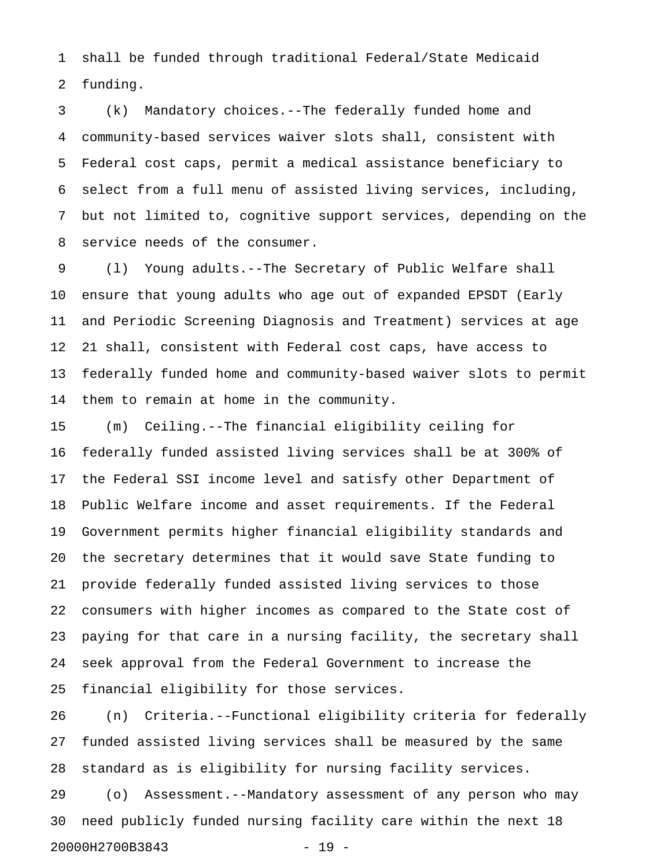1 shall be funded through traditional Federal/State Medicaid 2 funding.

3 (k) Mandatory choices.--The federally funded home and 4 community-based services waiver slots shall, consistent with 5 Federal cost caps, permit a medical assistance beneficiary to 6 select from a full menu of assisted living services, including, 7 but not limited to, cognitive support services, depending on the 8 service needs of the consumer.

9 (l) Young adults.--The Secretary of Public Welfare shall 10 ensure that young adults who age out of expanded EPSDT (Early 11 and Periodic Screening Diagnosis and Treatment) services at age 12 21 shall, consistent with Federal cost caps, have access to 13 federally funded home and community-based waiver slots to permit 14 them to remain at home in the community.

15 (m) Ceiling.--The financial eligibility ceiling for 16 federally funded assisted living services shall be at 300% of 17 the Federal SSI income level and satisfy other Department of 18 Public Welfare income and asset requirements. If the Federal 19 Government permits higher financial eligibility standards and 20 the secretary determines that it would save State funding to 21 provide federally funded assisted living services to those 22 consumers with higher incomes as compared to the State cost of 23 paying for that care in a nursing facility, the secretary shall 24 seek approval from the Federal Government to increase the 25 financial eligibility for those services.

26 (n) Criteria.--Functional eligibility criteria for federally 27 funded assisted living services shall be measured by the same 28 standard as is eligibility for nursing facility services.

29 (o) Assessment.--Mandatory assessment of any person who may 30 need publicly funded nursing facility care within the next 18 20000H2700B3843 - 19 -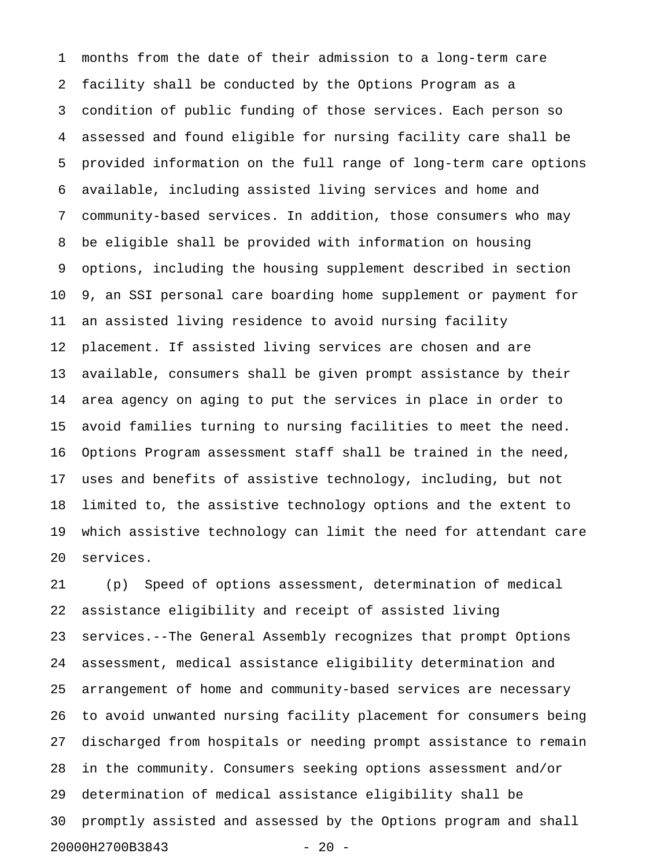1 months from the date of their admission to a long-term care 2 facility shall be conducted by the Options Program as a 3 condition of public funding of those services. Each person so 4 assessed and found eligible for nursing facility care shall be 5 provided information on the full range of long-term care options 6 available, including assisted living services and home and 7 community-based services. In addition, those consumers who may 8 be eligible shall be provided with information on housing 9 options, including the housing supplement described in section 10 9, an SSI personal care boarding home supplement or payment for 11 an assisted living residence to avoid nursing facility 12 placement. If assisted living services are chosen and are 13 available, consumers shall be given prompt assistance by their 14 area agency on aging to put the services in place in order to 15 avoid families turning to nursing facilities to meet the need. 16 Options Program assessment staff shall be trained in the need, 17 uses and benefits of assistive technology, including, but not 18 limited to, the assistive technology options and the extent to 19 which assistive technology can limit the need for attendant care 20 services.

21 (p) Speed of options assessment, determination of medical 22 assistance eligibility and receipt of assisted living 23 services.--The General Assembly recognizes that prompt Options 24 assessment, medical assistance eligibility determination and 25 arrangement of home and community-based services are necessary 26 to avoid unwanted nursing facility placement for consumers being 27 discharged from hospitals or needing prompt assistance to remain 28 in the community. Consumers seeking options assessment and/or 29 determination of medical assistance eligibility shall be 30 promptly assisted and assessed by the Options program and shall 20000H2700B3843 - 20 -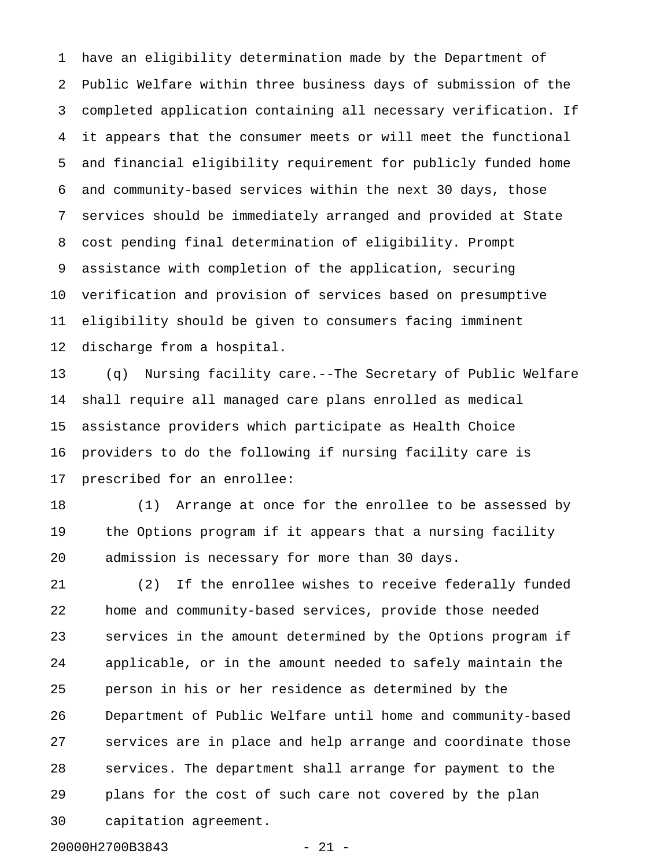1 have an eligibility determination made by the Department of 2 Public Welfare within three business days of submission of the 3 completed application containing all necessary verification. If 4 it appears that the consumer meets or will meet the functional 5 and financial eligibility requirement for publicly funded home 6 and community-based services within the next 30 days, those 7 services should be immediately arranged and provided at State 8 cost pending final determination of eligibility. Prompt 9 assistance with completion of the application, securing 10 verification and provision of services based on presumptive 11 eligibility should be given to consumers facing imminent 12 discharge from a hospital.

13 (q) Nursing facility care.--The Secretary of Public Welfare 14 shall require all managed care plans enrolled as medical 15 assistance providers which participate as Health Choice 16 providers to do the following if nursing facility care is 17 prescribed for an enrollee:

18 (1) Arrange at once for the enrollee to be assessed by 19 the Options program if it appears that a nursing facility 20 admission is necessary for more than 30 days.

21 (2) If the enrollee wishes to receive federally funded 22 home and community-based services, provide those needed 23 services in the amount determined by the Options program if 24 applicable, or in the amount needed to safely maintain the 25 person in his or her residence as determined by the 26 Department of Public Welfare until home and community-based 27 services are in place and help arrange and coordinate those 28 services. The department shall arrange for payment to the 29 plans for the cost of such care not covered by the plan 30 capitation agreement.

20000H2700B3843 - 21 -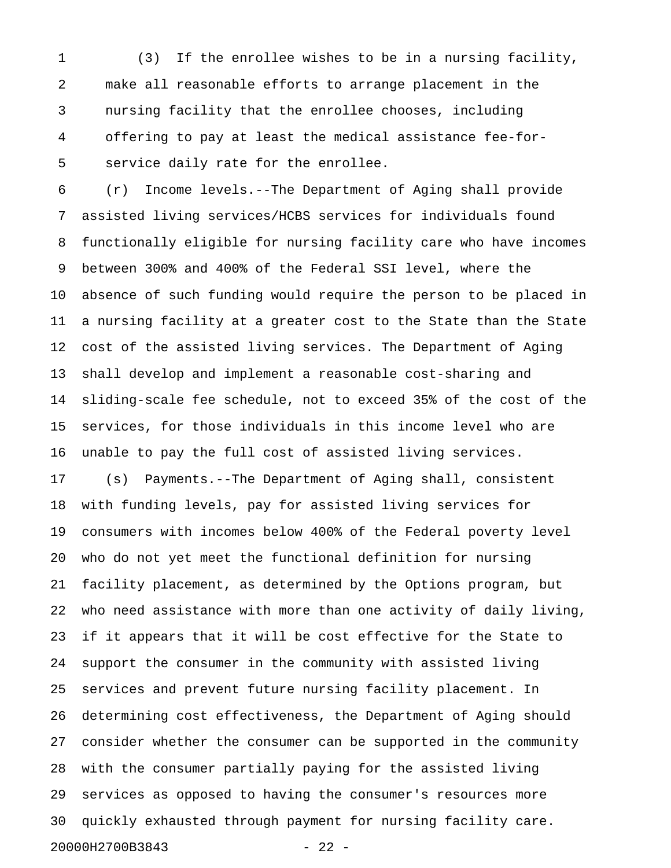1 (3) If the enrollee wishes to be in a nursing facility, 2 make all reasonable efforts to arrange placement in the 3 nursing facility that the enrollee chooses, including 4 offering to pay at least the medical assistance fee-for-5 service daily rate for the enrollee.

6 (r) Income levels.--The Department of Aging shall provide 7 assisted living services/HCBS services for individuals found 8 functionally eligible for nursing facility care who have incomes 9 between 300% and 400% of the Federal SSI level, where the 10 absence of such funding would require the person to be placed in 11 a nursing facility at a greater cost to the State than the State 12 cost of the assisted living services. The Department of Aging 13 shall develop and implement a reasonable cost-sharing and 14 sliding-scale fee schedule, not to exceed 35% of the cost of the 15 services, for those individuals in this income level who are 16 unable to pay the full cost of assisted living services.

17 (s) Payments.--The Department of Aging shall, consistent 18 with funding levels, pay for assisted living services for 19 consumers with incomes below 400% of the Federal poverty level 20 who do not yet meet the functional definition for nursing 21 facility placement, as determined by the Options program, but 22 who need assistance with more than one activity of daily living, 23 if it appears that it will be cost effective for the State to 24 support the consumer in the community with assisted living 25 services and prevent future nursing facility placement. In 26 determining cost effectiveness, the Department of Aging should 27 consider whether the consumer can be supported in the community 28 with the consumer partially paying for the assisted living 29 services as opposed to having the consumer's resources more 30 quickly exhausted through payment for nursing facility care. 20000H2700B3843 - 22 -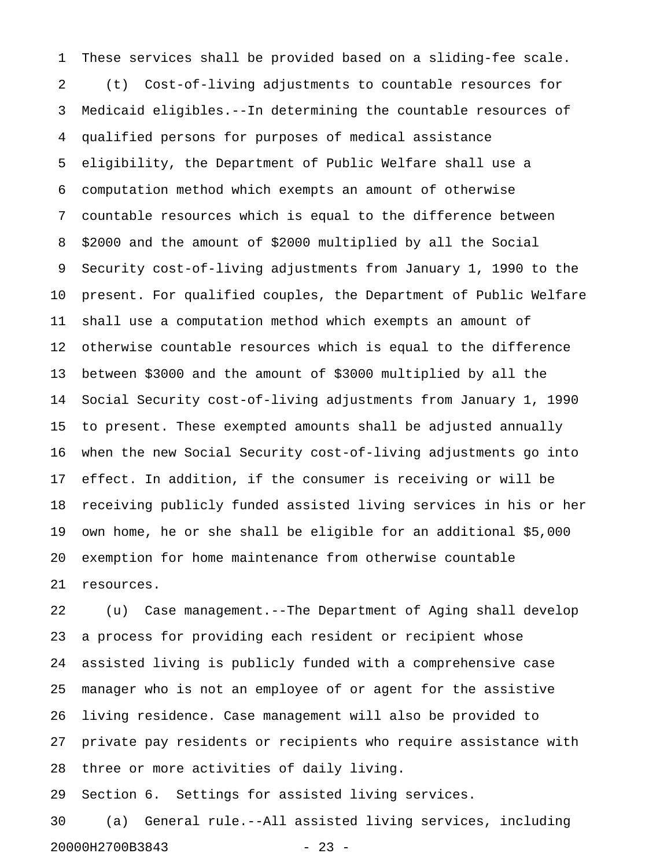1 These services shall be provided based on a sliding-fee scale. 2 (t) Cost-of-living adjustments to countable resources for 3 Medicaid eligibles.--In determining the countable resources of 4 qualified persons for purposes of medical assistance 5 eligibility, the Department of Public Welfare shall use a 6 computation method which exempts an amount of otherwise 7 countable resources which is equal to the difference between 8 \$2000 and the amount of \$2000 multiplied by all the Social 9 Security cost-of-living adjustments from January 1, 1990 to the 10 present. For qualified couples, the Department of Public Welfare 11 shall use a computation method which exempts an amount of 12 otherwise countable resources which is equal to the difference 13 between \$3000 and the amount of \$3000 multiplied by all the 14 Social Security cost-of-living adjustments from January 1, 1990 15 to present. These exempted amounts shall be adjusted annually 16 when the new Social Security cost-of-living adjustments go into 17 effect. In addition, if the consumer is receiving or will be 18 receiving publicly funded assisted living services in his or her 19 own home, he or she shall be eligible for an additional \$5,000 20 exemption for home maintenance from otherwise countable 21 resources.

22 (u) Case management.--The Department of Aging shall develop 23 a process for providing each resident or recipient whose 24 assisted living is publicly funded with a comprehensive case 25 manager who is not an employee of or agent for the assistive 26 living residence. Case management will also be provided to 27 private pay residents or recipients who require assistance with 28 three or more activities of daily living.

29 Section 6. Settings for assisted living services.

30 (a) General rule.--All assisted living services, including 20000H2700B3843 - 23 -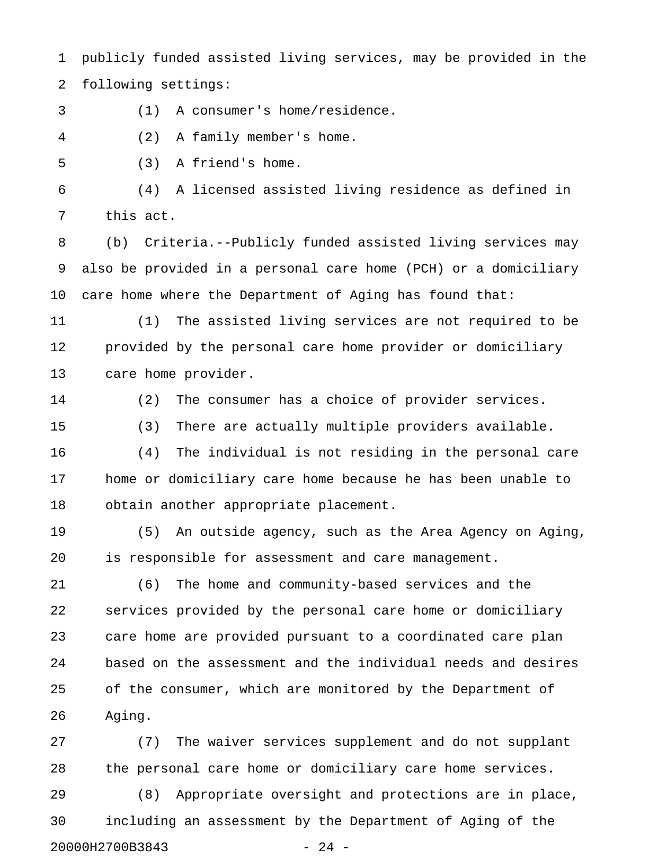1 publicly funded assisted living services, may be provided in the 2 following settings:

3 (1) A consumer's home/residence.

4 (2) A family member's home.

5 (3) A friend's home.

6 (4) A licensed assisted living residence as defined in 7 this act.

8 (b) Criteria.--Publicly funded assisted living services may 9 also be provided in a personal care home (PCH) or a domiciliary 10 care home where the Department of Aging has found that:

11 (1) The assisted living services are not required to be 12 provided by the personal care home provider or domiciliary 13 care home provider.

14 (2) The consumer has a choice of provider services.

15 (3) There are actually multiple providers available.

16 (4) The individual is not residing in the personal care 17 home or domiciliary care home because he has been unable to 18 obtain another appropriate placement.

19 (5) An outside agency, such as the Area Agency on Aging, 20 is responsible for assessment and care management.

21 (6) The home and community-based services and the 22 services provided by the personal care home or domiciliary 23 care home are provided pursuant to a coordinated care plan 24 based on the assessment and the individual needs and desires 25 of the consumer, which are monitored by the Department of 26 Aging.

27 (7) The waiver services supplement and do not supplant 28 the personal care home or domiciliary care home services.

29 (8) Appropriate oversight and protections are in place, 30 including an assessment by the Department of Aging of the 20000H2700B3843 - 24 -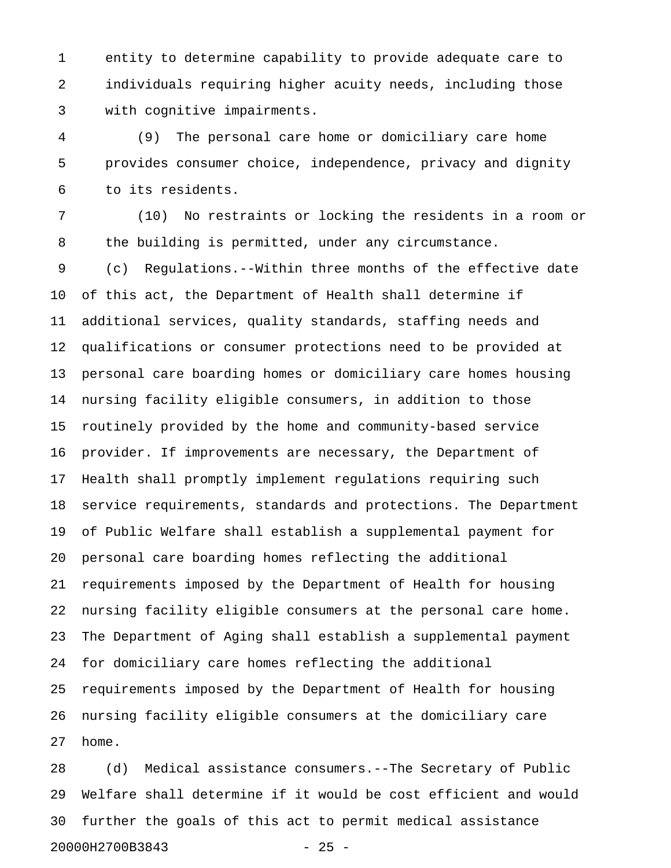1 entity to determine capability to provide adequate care to 2 individuals requiring higher acuity needs, including those 3 with cognitive impairments.

4 (9) The personal care home or domiciliary care home 5 provides consumer choice, independence, privacy and dignity 6 to its residents.

7 (10) No restraints or locking the residents in a room or 8 the building is permitted, under any circumstance.

9 (c) Regulations.--Within three months of the effective date 10 of this act, the Department of Health shall determine if 11 additional services, quality standards, staffing needs and 12 qualifications or consumer protections need to be provided at 13 personal care boarding homes or domiciliary care homes housing 14 nursing facility eligible consumers, in addition to those 15 routinely provided by the home and community-based service 16 provider. If improvements are necessary, the Department of 17 Health shall promptly implement regulations requiring such 18 service requirements, standards and protections. The Department 19 of Public Welfare shall establish a supplemental payment for 20 personal care boarding homes reflecting the additional 21 requirements imposed by the Department of Health for housing 22 nursing facility eligible consumers at the personal care home. 23 The Department of Aging shall establish a supplemental payment 24 for domiciliary care homes reflecting the additional 25 requirements imposed by the Department of Health for housing 26 nursing facility eligible consumers at the domiciliary care 27 home.

28 (d) Medical assistance consumers.--The Secretary of Public 29 Welfare shall determine if it would be cost efficient and would 30 further the goals of this act to permit medical assistance 20000H2700B3843 - 25 -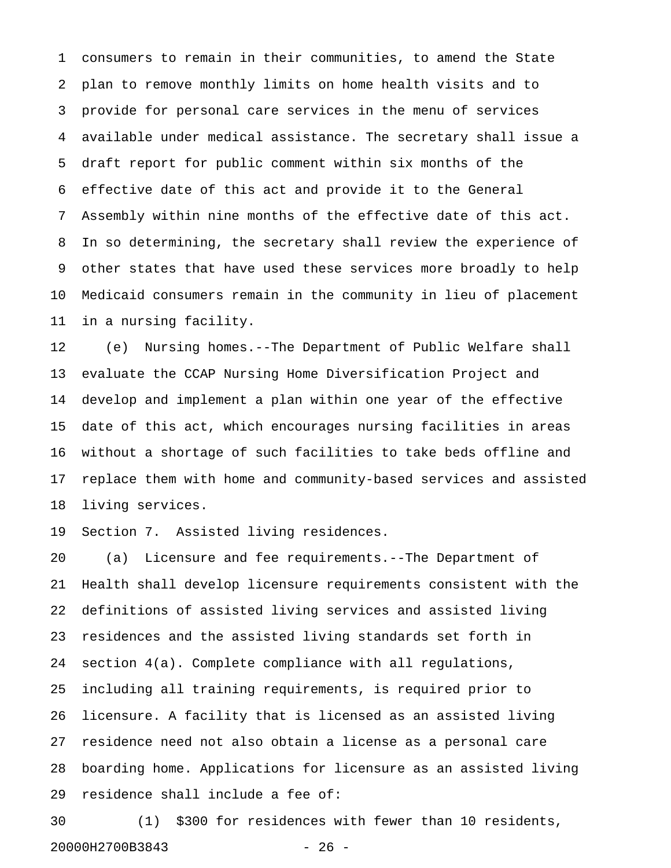1 consumers to remain in their communities, to amend the State 2 plan to remove monthly limits on home health visits and to 3 provide for personal care services in the menu of services 4 available under medical assistance. The secretary shall issue a 5 draft report for public comment within six months of the 6 effective date of this act and provide it to the General 7 Assembly within nine months of the effective date of this act. 8 In so determining, the secretary shall review the experience of 9 other states that have used these services more broadly to help 10 Medicaid consumers remain in the community in lieu of placement 11 in a nursing facility.

12 (e) Nursing homes.--The Department of Public Welfare shall 13 evaluate the CCAP Nursing Home Diversification Project and 14 develop and implement a plan within one year of the effective 15 date of this act, which encourages nursing facilities in areas 16 without a shortage of such facilities to take beds offline and 17 replace them with home and community-based services and assisted 18 living services.

19 Section 7. Assisted living residences.

20 (a) Licensure and fee requirements.--The Department of 21 Health shall develop licensure requirements consistent with the 22 definitions of assisted living services and assisted living 23 residences and the assisted living standards set forth in 24 section 4(a). Complete compliance with all regulations, 25 including all training requirements, is required prior to 26 licensure. A facility that is licensed as an assisted living 27 residence need not also obtain a license as a personal care 28 boarding home. Applications for licensure as an assisted living 29 residence shall include a fee of:

30 (1) \$300 for residences with fewer than 10 residents, 20000H2700B3843 - 26 -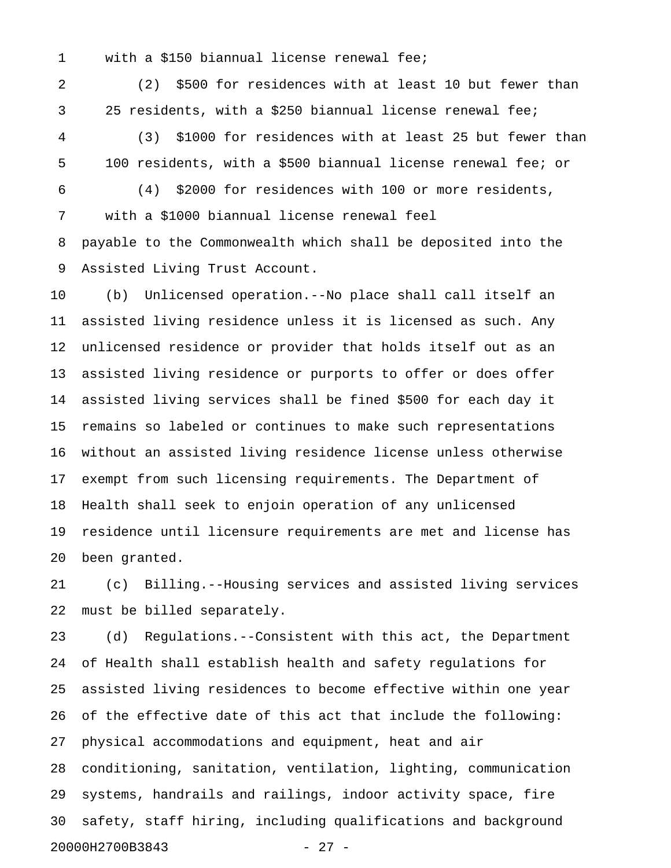1 with a \$150 biannual license renewal fee;

2 (2) \$500 for residences with at least 10 but fewer than 3 25 residents, with a \$250 biannual license renewal fee;

4 (3) \$1000 for residences with at least 25 but fewer than 5 100 residents, with a \$500 biannual license renewal fee; or

6 (4) \$2000 for residences with 100 or more residents,

7 with a \$1000 biannual license renewal feel

8 payable to the Commonwealth which shall be deposited into the 9 Assisted Living Trust Account.

10 (b) Unlicensed operation.--No place shall call itself an 11 assisted living residence unless it is licensed as such. Any 12 unlicensed residence or provider that holds itself out as an 13 assisted living residence or purports to offer or does offer 14 assisted living services shall be fined \$500 for each day it 15 remains so labeled or continues to make such representations 16 without an assisted living residence license unless otherwise 17 exempt from such licensing requirements. The Department of 18 Health shall seek to enjoin operation of any unlicensed 19 residence until licensure requirements are met and license has 20 been granted.

21 (c) Billing.--Housing services and assisted living services 22 must be billed separately.

23 (d) Regulations.--Consistent with this act, the Department 24 of Health shall establish health and safety regulations for 25 assisted living residences to become effective within one year 26 of the effective date of this act that include the following: 27 physical accommodations and equipment, heat and air 28 conditioning, sanitation, ventilation, lighting, communication 29 systems, handrails and railings, indoor activity space, fire 30 safety, staff hiring, including qualifications and background 20000H2700B3843 - 27 -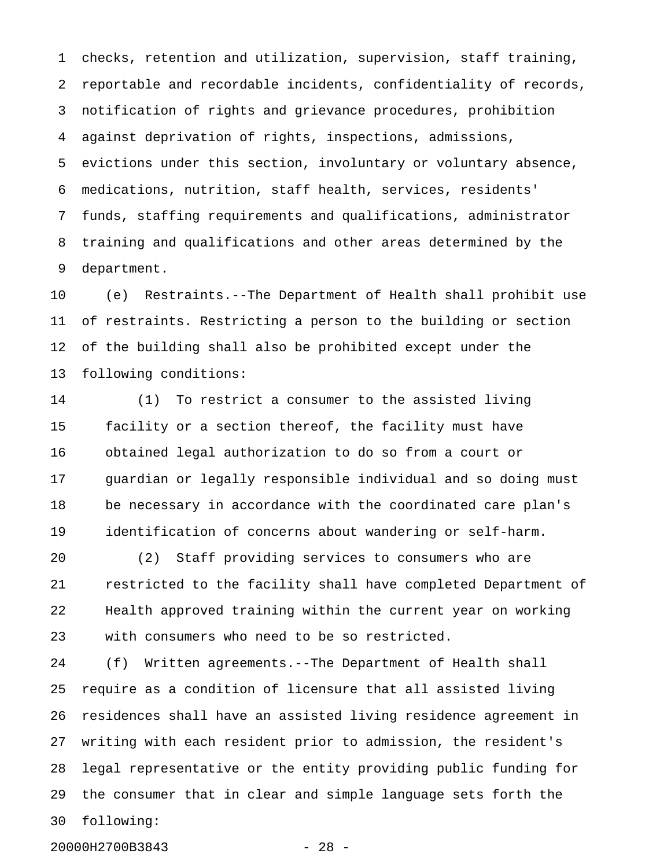1 checks, retention and utilization, supervision, staff training, 2 reportable and recordable incidents, confidentiality of records, 3 notification of rights and grievance procedures, prohibition 4 against deprivation of rights, inspections, admissions, 5 evictions under this section, involuntary or voluntary absence, 6 medications, nutrition, staff health, services, residents' 7 funds, staffing requirements and qualifications, administrator 8 training and qualifications and other areas determined by the 9 department.

10 (e) Restraints.--The Department of Health shall prohibit use 11 of restraints. Restricting a person to the building or section 12 of the building shall also be prohibited except under the 13 following conditions:

14 (1) To restrict a consumer to the assisted living 15 facility or a section thereof, the facility must have 16 obtained legal authorization to do so from a court or 17 guardian or legally responsible individual and so doing must 18 be necessary in accordance with the coordinated care plan's 19 identification of concerns about wandering or self-harm.

20 (2) Staff providing services to consumers who are 21 restricted to the facility shall have completed Department of 22 Health approved training within the current year on working 23 with consumers who need to be so restricted.

24 (f) Written agreements.--The Department of Health shall 25 require as a condition of licensure that all assisted living 26 residences shall have an assisted living residence agreement in 27 writing with each resident prior to admission, the resident's 28 legal representative or the entity providing public funding for 29 the consumer that in clear and simple language sets forth the 30 following:

20000H2700B3843 - 28 -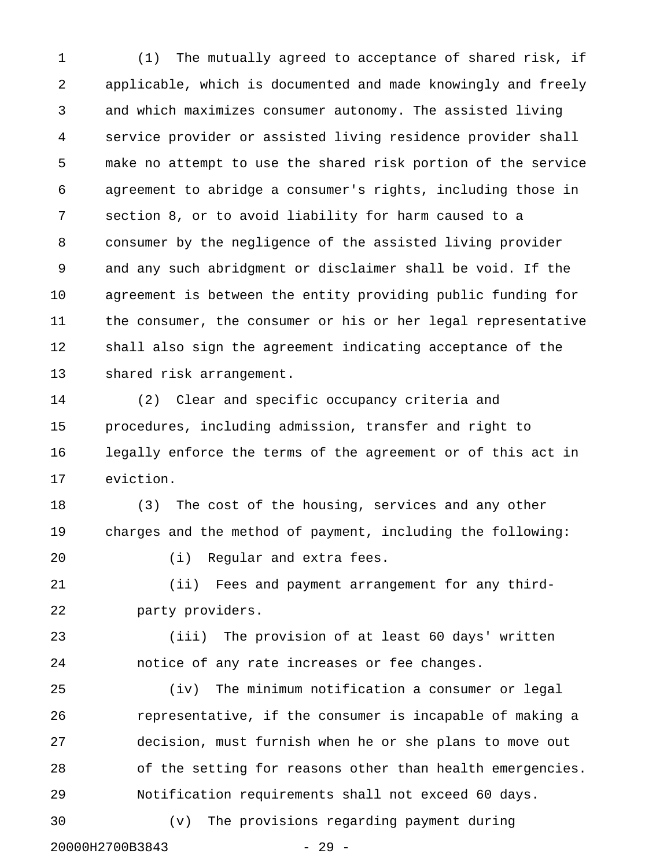1 (1) The mutually agreed to acceptance of shared risk, if 2 applicable, which is documented and made knowingly and freely 3 and which maximizes consumer autonomy. The assisted living 4 service provider or assisted living residence provider shall 5 make no attempt to use the shared risk portion of the service 6 agreement to abridge a consumer's rights, including those in 7 section 8, or to avoid liability for harm caused to a 8 consumer by the negligence of the assisted living provider 9 and any such abridgment or disclaimer shall be void. If the 10 agreement is between the entity providing public funding for 11 the consumer, the consumer or his or her legal representative 12 shall also sign the agreement indicating acceptance of the 13 shared risk arrangement.

14 (2) Clear and specific occupancy criteria and 15 procedures, including admission, transfer and right to 16 legally enforce the terms of the agreement or of this act in 17 eviction.

18 (3) The cost of the housing, services and any other 19 charges and the method of payment, including the following:

20 (i) Regular and extra fees.

21 (ii) Fees and payment arrangement for any third-22 party providers.

23 (iii) The provision of at least 60 days' written 24 notice of any rate increases or fee changes.

25 (iv) The minimum notification a consumer or legal 26 representative, if the consumer is incapable of making a 27 decision, must furnish when he or she plans to move out 28 of the setting for reasons other than health emergencies. 29 Notification requirements shall not exceed 60 days.

30 (v) The provisions regarding payment during 20000H2700B3843 - 29 -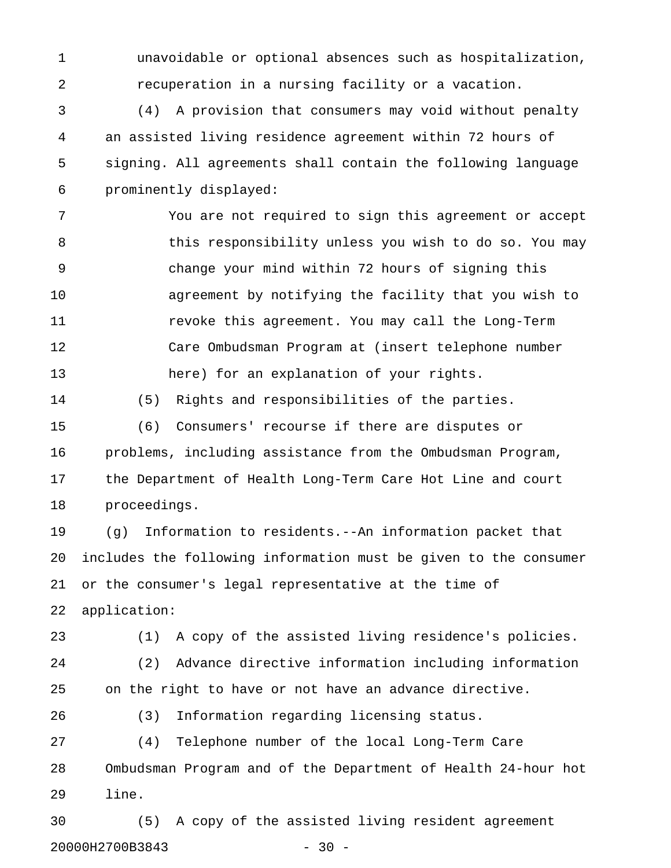1 unavoidable or optional absences such as hospitalization, 2 recuperation in a nursing facility or a vacation.

3 (4) A provision that consumers may void without penalty 4 an assisted living residence agreement within 72 hours of 5 signing. All agreements shall contain the following language 6 prominently displayed:

7 You are not required to sign this agreement or accept 8 6 this responsibility unless you wish to do so. You may 9 change your mind within 72 hours of signing this 10 agreement by notifying the facility that you wish to 11 revoke this agreement. You may call the Long-Term 12 Care Ombudsman Program at (insert telephone number 13 here) for an explanation of your rights.

14 (5) Rights and responsibilities of the parties.

15 (6) Consumers' recourse if there are disputes or 16 problems, including assistance from the Ombudsman Program, 17 the Department of Health Long-Term Care Hot Line and court 18 proceedings.

19 (g) Information to residents.--An information packet that 20 includes the following information must be given to the consumer 21 or the consumer's legal representative at the time of 22 application:

23 (1) A copy of the assisted living residence's policies. 24 (2) Advance directive information including information 25 on the right to have or not have an advance directive.

26 (3) Information regarding licensing status.

27 (4) Telephone number of the local Long-Term Care 28 Ombudsman Program and of the Department of Health 24-hour hot 29 line.

30 (5) A copy of the assisted living resident agreement 20000H2700B3843 - 30 -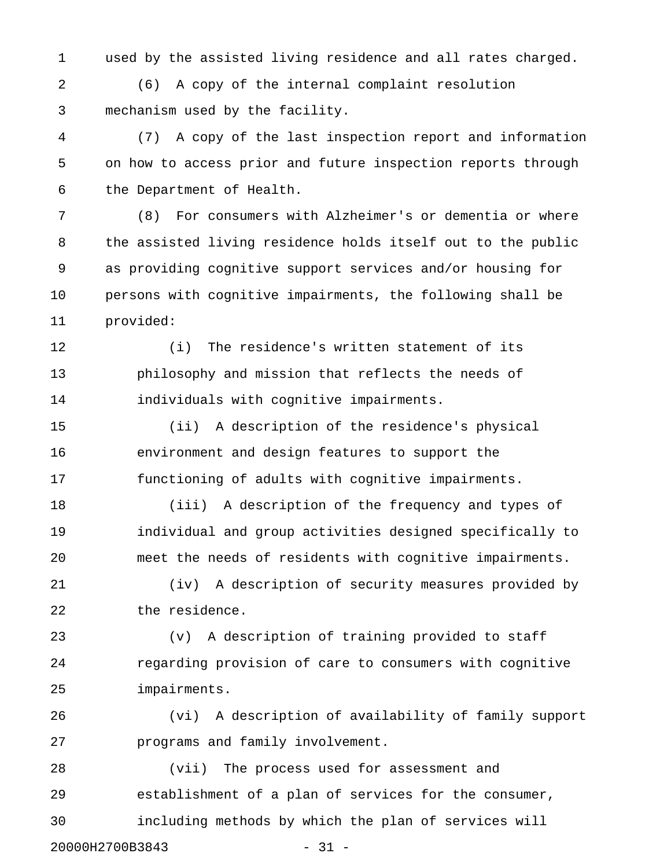1 used by the assisted living residence and all rates charged.

2 (6) A copy of the internal complaint resolution 3 mechanism used by the facility.

4 (7) A copy of the last inspection report and information 5 on how to access prior and future inspection reports through 6 the Department of Health.

7 (8) For consumers with Alzheimer's or dementia or where 8 the assisted living residence holds itself out to the public 9 as providing cognitive support services and/or housing for 10 persons with cognitive impairments, the following shall be 11 provided:

12 (i) The residence's written statement of its 13 philosophy and mission that reflects the needs of 14 individuals with cognitive impairments.

15 (ii) A description of the residence's physical 16 environment and design features to support the 17 functioning of adults with cognitive impairments.

18 (iii) A description of the frequency and types of 19 individual and group activities designed specifically to 20 meet the needs of residents with cognitive impairments.

21 (iv) A description of security measures provided by 22 the residence.

23 (v) A description of training provided to staff 24 regarding provision of care to consumers with cognitive 25 impairments.

26 (vi) A description of availability of family support 27 programs and family involvement.

28 (vii) The process used for assessment and 29 establishment of a plan of services for the consumer, 30 including methods by which the plan of services will 20000H2700B3843 - 31 -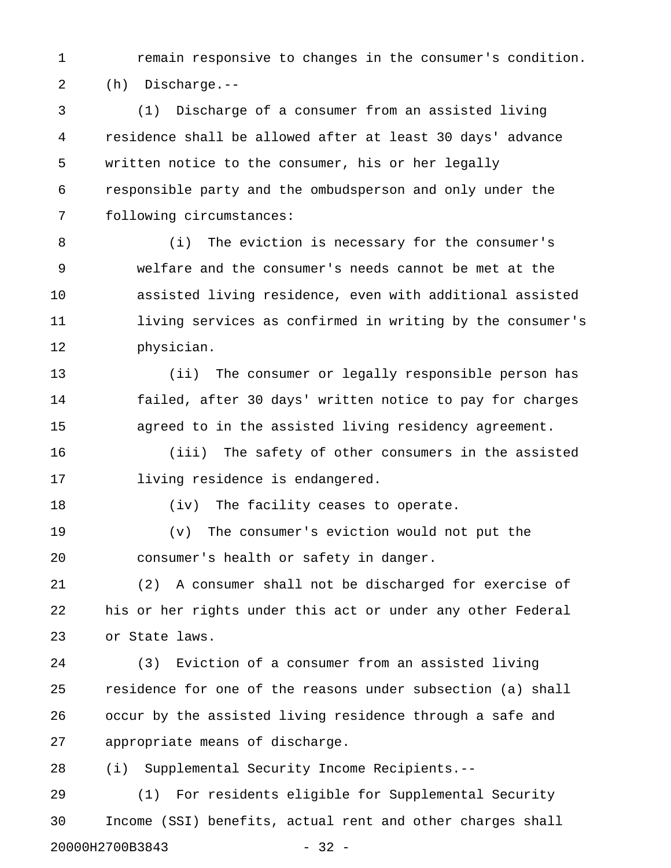1 remain responsive to changes in the consumer's condition. 2 (h) Discharge.--

3 (1) Discharge of a consumer from an assisted living 4 residence shall be allowed after at least 30 days' advance 5 written notice to the consumer, his or her legally 6 responsible party and the ombudsperson and only under the 7 following circumstances:

8 (i) The eviction is necessary for the consumer's 9 welfare and the consumer's needs cannot be met at the 10 assisted living residence, even with additional assisted 11 living services as confirmed in writing by the consumer's 12 physician.

13 (ii) The consumer or legally responsible person has 14 failed, after 30 days' written notice to pay for charges 15 agreed to in the assisted living residency agreement.

16 (iii) The safety of other consumers in the assisted 17 living residence is endangered.

18 (iv) The facility ceases to operate.

19 (v) The consumer's eviction would not put the 20 consumer's health or safety in danger.

21 (2) A consumer shall not be discharged for exercise of 22 his or her rights under this act or under any other Federal 23 or State laws.

24 (3) Eviction of a consumer from an assisted living 25 residence for one of the reasons under subsection (a) shall 26 occur by the assisted living residence through a safe and 27 appropriate means of discharge.

28 (i) Supplemental Security Income Recipients.--

29 (1) For residents eligible for Supplemental Security 30 Income (SSI) benefits, actual rent and other charges shall 20000H2700B3843 - 32 -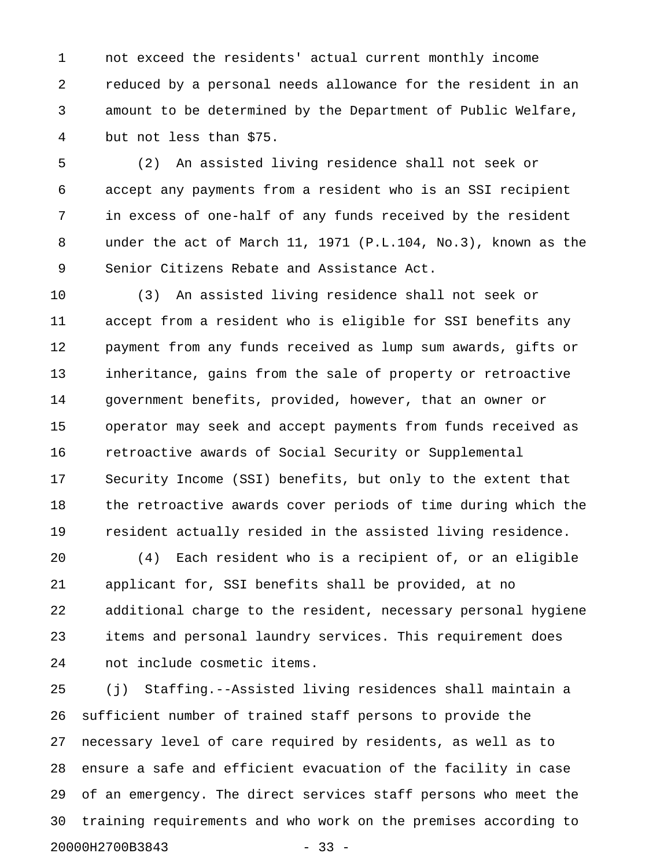1 not exceed the residents' actual current monthly income 2 reduced by a personal needs allowance for the resident in an 3 amount to be determined by the Department of Public Welfare, 4 but not less than \$75.

5 (2) An assisted living residence shall not seek or 6 accept any payments from a resident who is an SSI recipient 7 in excess of one-half of any funds received by the resident 8 under the act of March 11, 1971 (P.L.104, No.3), known as the 9 Senior Citizens Rebate and Assistance Act.

10 (3) An assisted living residence shall not seek or 11 accept from a resident who is eligible for SSI benefits any 12 payment from any funds received as lump sum awards, gifts or 13 inheritance, gains from the sale of property or retroactive 14 government benefits, provided, however, that an owner or 15 operator may seek and accept payments from funds received as 16 retroactive awards of Social Security or Supplemental 17 Security Income (SSI) benefits, but only to the extent that 18 the retroactive awards cover periods of time during which the 19 resident actually resided in the assisted living residence.

20 (4) Each resident who is a recipient of, or an eligible 21 applicant for, SSI benefits shall be provided, at no 22 additional charge to the resident, necessary personal hygiene 23 items and personal laundry services. This requirement does 24 not include cosmetic items.

25 (j) Staffing.--Assisted living residences shall maintain a 26 sufficient number of trained staff persons to provide the 27 necessary level of care required by residents, as well as to 28 ensure a safe and efficient evacuation of the facility in case 29 of an emergency. The direct services staff persons who meet the 30 training requirements and who work on the premises according to 20000H2700B3843 - 33 -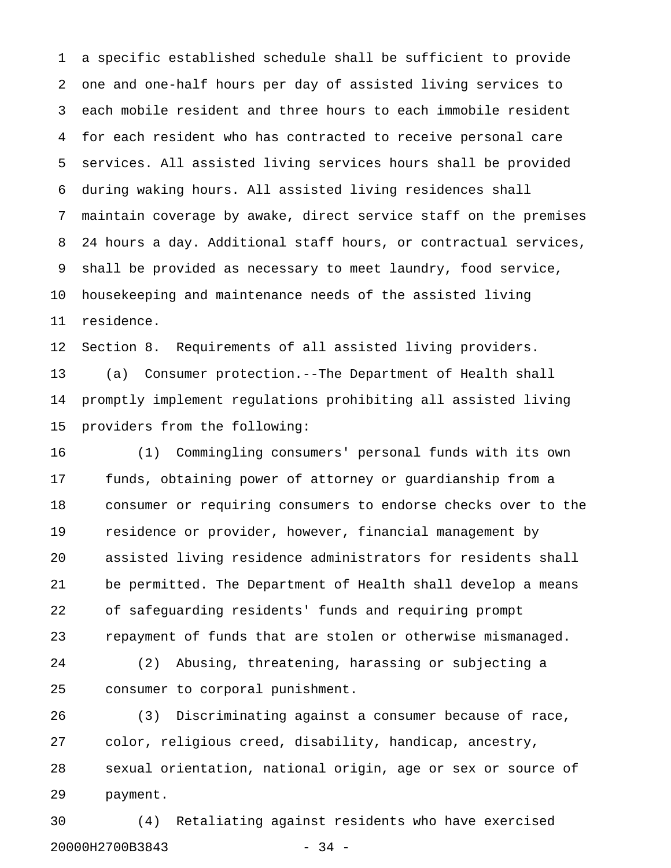1 a specific established schedule shall be sufficient to provide 2 one and one-half hours per day of assisted living services to 3 each mobile resident and three hours to each immobile resident 4 for each resident who has contracted to receive personal care 5 services. All assisted living services hours shall be provided 6 during waking hours. All assisted living residences shall 7 maintain coverage by awake, direct service staff on the premises 8 24 hours a day. Additional staff hours, or contractual services, 9 shall be provided as necessary to meet laundry, food service, 10 housekeeping and maintenance needs of the assisted living 11 residence.

12 Section 8. Requirements of all assisted living providers.

13 (a) Consumer protection.--The Department of Health shall 14 promptly implement regulations prohibiting all assisted living 15 providers from the following:

16 (1) Commingling consumers' personal funds with its own 17 funds, obtaining power of attorney or guardianship from a 18 consumer or requiring consumers to endorse checks over to the 19 residence or provider, however, financial management by 20 assisted living residence administrators for residents shall 21 be permitted. The Department of Health shall develop a means 22 of safeguarding residents' funds and requiring prompt 23 repayment of funds that are stolen or otherwise mismanaged.

24 (2) Abusing, threatening, harassing or subjecting a 25 consumer to corporal punishment.

26 (3) Discriminating against a consumer because of race, 27 color, religious creed, disability, handicap, ancestry, 28 sexual orientation, national origin, age or sex or source of 29 payment.

30 (4) Retaliating against residents who have exercised 20000H2700B3843 - 34 -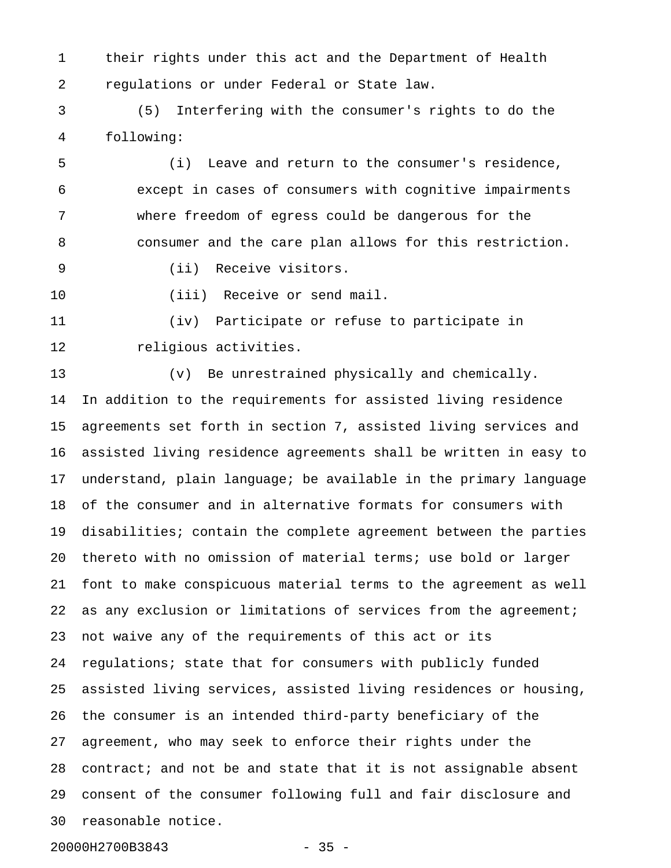1 their rights under this act and the Department of Health 2 regulations or under Federal or State law.

3 (5) Interfering with the consumer's rights to do the 4 following:

5 (i) Leave and return to the consumer's residence, 6 except in cases of consumers with cognitive impairments 7 where freedom of egress could be dangerous for the 8 consumer and the care plan allows for this restriction.

- 9 (ii) Receive visitors.
- 

10 (iii) Receive or send mail.

11 (iv) Participate or refuse to participate in 12 religious activities.

13 (v) Be unrestrained physically and chemically. 14 In addition to the requirements for assisted living residence 15 agreements set forth in section 7, assisted living services and 16 assisted living residence agreements shall be written in easy to 17 understand, plain language; be available in the primary language 18 of the consumer and in alternative formats for consumers with 19 disabilities; contain the complete agreement between the parties 20 thereto with no omission of material terms; use bold or larger 21 font to make conspicuous material terms to the agreement as well 22 as any exclusion or limitations of services from the agreement; 23 not waive any of the requirements of this act or its 24 regulations; state that for consumers with publicly funded 25 assisted living services, assisted living residences or housing, 26 the consumer is an intended third-party beneficiary of the 27 agreement, who may seek to enforce their rights under the 28 contract; and not be and state that it is not assignable absent 29 consent of the consumer following full and fair disclosure and 30 reasonable notice.

20000H2700B3843 - 35 -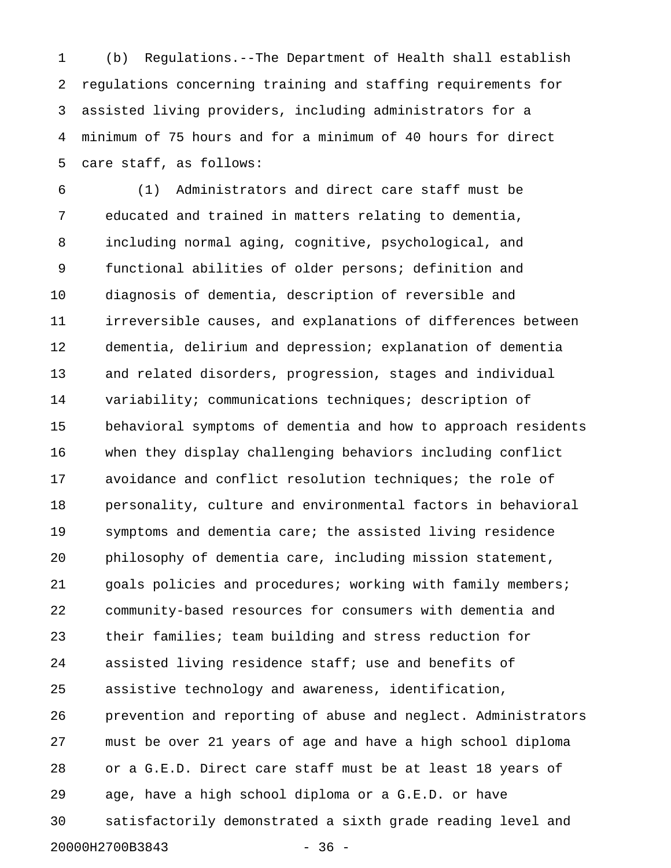1 (b) Regulations.--The Department of Health shall establish 2 regulations concerning training and staffing requirements for 3 assisted living providers, including administrators for a 4 minimum of 75 hours and for a minimum of 40 hours for direct 5 care staff, as follows:

6 (1) Administrators and direct care staff must be 7 educated and trained in matters relating to dementia, 8 including normal aging, cognitive, psychological, and 9 functional abilities of older persons; definition and 10 diagnosis of dementia, description of reversible and 11 irreversible causes, and explanations of differences between 12 dementia, delirium and depression; explanation of dementia 13 and related disorders, progression, stages and individual 14 variability; communications techniques; description of 15 behavioral symptoms of dementia and how to approach residents 16 when they display challenging behaviors including conflict 17 avoidance and conflict resolution techniques; the role of 18 personality, culture and environmental factors in behavioral 19 symptoms and dementia care; the assisted living residence 20 philosophy of dementia care, including mission statement, 21 goals policies and procedures; working with family members; 22 community-based resources for consumers with dementia and 23 their families; team building and stress reduction for 24 assisted living residence staff; use and benefits of 25 assistive technology and awareness, identification, 26 prevention and reporting of abuse and neglect. Administrators 27 must be over 21 years of age and have a high school diploma 28 or a G.E.D. Direct care staff must be at least 18 years of 29 age, have a high school diploma or a G.E.D. or have 30 satisfactorily demonstrated a sixth grade reading level and 20000H2700B3843 - 36 -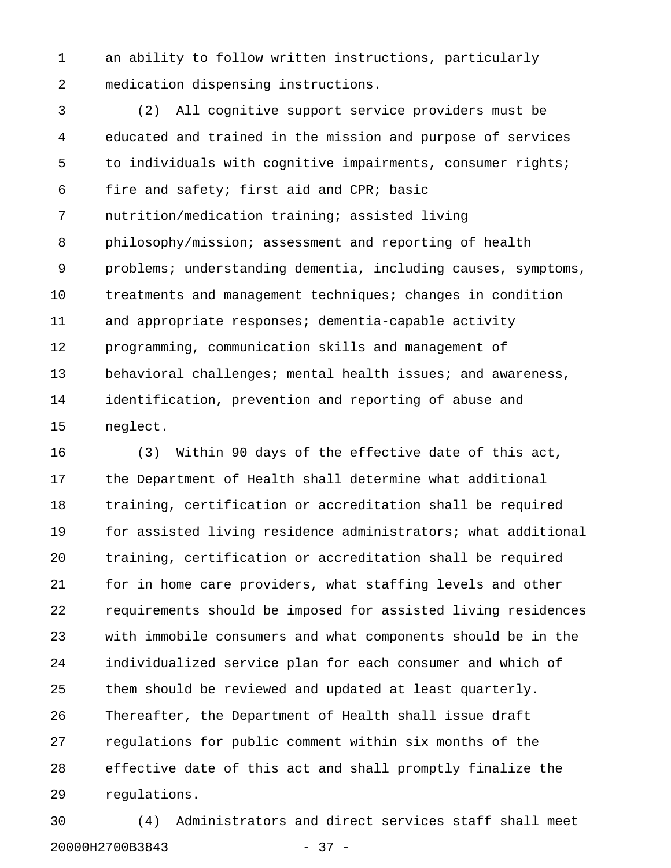1 an ability to follow written instructions, particularly 2 medication dispensing instructions.

3 (2) All cognitive support service providers must be 4 educated and trained in the mission and purpose of services 5 to individuals with cognitive impairments, consumer rights; 6 fire and safety; first aid and CPR; basic 7 nutrition/medication training; assisted living 8 philosophy/mission; assessment and reporting of health 9 problems; understanding dementia, including causes, symptoms, 10 treatments and management techniques; changes in condition 11 and appropriate responses; dementia-capable activity 12 programming, communication skills and management of 13 behavioral challenges; mental health issues; and awareness, 14 identification, prevention and reporting of abuse and 15 neglect.

16 (3) Within 90 days of the effective date of this act, 17 the Department of Health shall determine what additional 18 training, certification or accreditation shall be required 19 for assisted living residence administrators; what additional 20 training, certification or accreditation shall be required 21 for in home care providers, what staffing levels and other 22 requirements should be imposed for assisted living residences 23 with immobile consumers and what components should be in the 24 individualized service plan for each consumer and which of 25 them should be reviewed and updated at least quarterly. 26 Thereafter, the Department of Health shall issue draft 27 regulations for public comment within six months of the 28 effective date of this act and shall promptly finalize the 29 regulations.

30 (4) Administrators and direct services staff shall meet 20000H2700B3843 - 37 -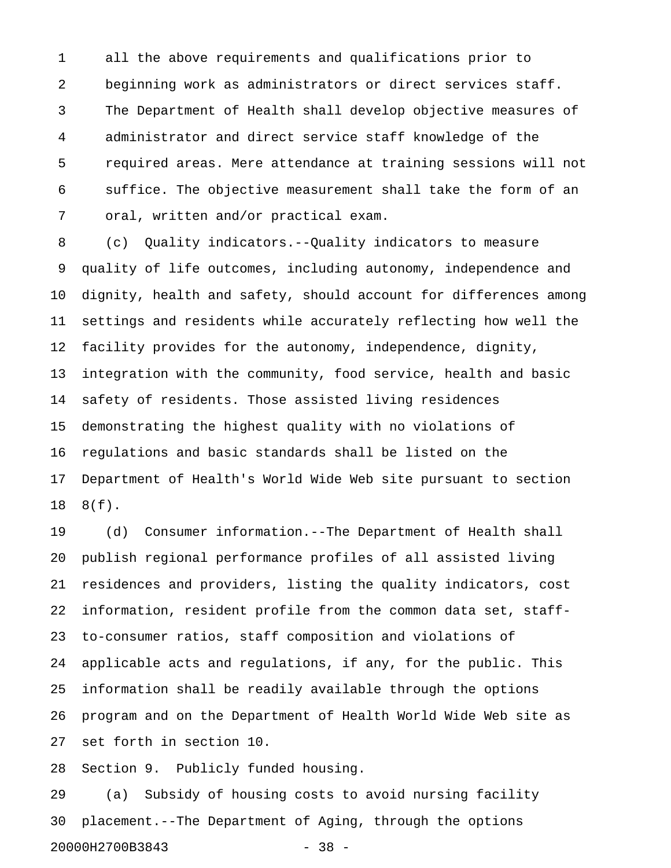1 all the above requirements and qualifications prior to 2 beginning work as administrators or direct services staff. 3 The Department of Health shall develop objective measures of 4 administrator and direct service staff knowledge of the 5 required areas. Mere attendance at training sessions will not 6 suffice. The objective measurement shall take the form of an 7 oral, written and/or practical exam.

8 (c) Quality indicators.--Quality indicators to measure 9 quality of life outcomes, including autonomy, independence and 10 dignity, health and safety, should account for differences among 11 settings and residents while accurately reflecting how well the 12 facility provides for the autonomy, independence, dignity, 13 integration with the community, food service, health and basic 14 safety of residents. Those assisted living residences 15 demonstrating the highest quality with no violations of 16 regulations and basic standards shall be listed on the 17 Department of Health's World Wide Web site pursuant to section 18 8(f).

19 (d) Consumer information.--The Department of Health shall 20 publish regional performance profiles of all assisted living 21 residences and providers, listing the quality indicators, cost 22 information, resident profile from the common data set, staff-23 to-consumer ratios, staff composition and violations of 24 applicable acts and regulations, if any, for the public. This 25 information shall be readily available through the options 26 program and on the Department of Health World Wide Web site as 27 set forth in section 10.

28 Section 9. Publicly funded housing.

29 (a) Subsidy of housing costs to avoid nursing facility 30 placement.--The Department of Aging, through the options 20000H2700B3843 - 38 -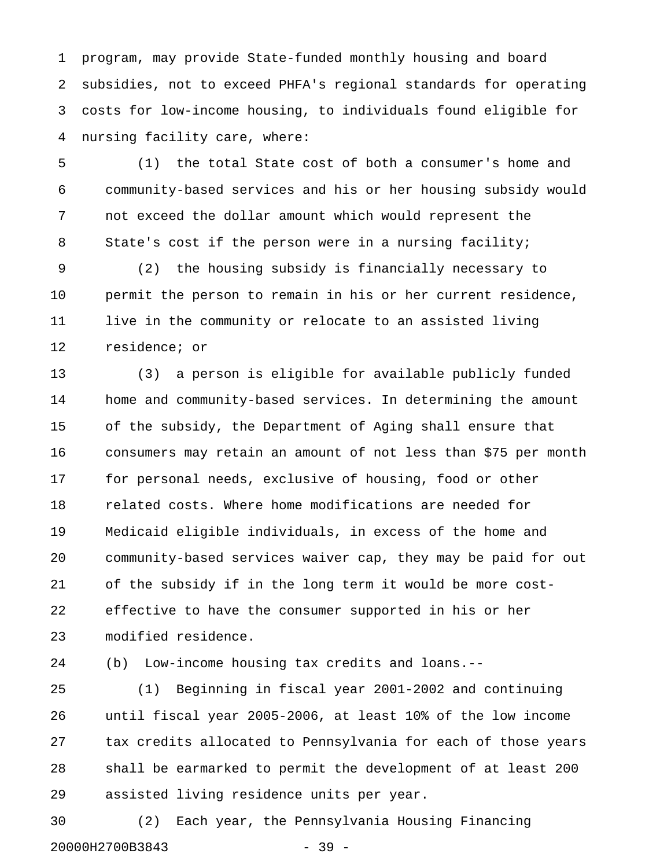1 program, may provide State-funded monthly housing and board 2 subsidies, not to exceed PHFA's regional standards for operating 3 costs for low-income housing, to individuals found eligible for 4 nursing facility care, where:

5 (1) the total State cost of both a consumer's home and 6 community-based services and his or her housing subsidy would 7 not exceed the dollar amount which would represent the 8 State's cost if the person were in a nursing facility;

9 (2) the housing subsidy is financially necessary to 10 permit the person to remain in his or her current residence, 11 live in the community or relocate to an assisted living 12 residence; or

13 (3) a person is eligible for available publicly funded 14 home and community-based services. In determining the amount 15 of the subsidy, the Department of Aging shall ensure that 16 consumers may retain an amount of not less than \$75 per month 17 for personal needs, exclusive of housing, food or other 18 related costs. Where home modifications are needed for 19 Medicaid eligible individuals, in excess of the home and 20 community-based services waiver cap, they may be paid for out 21 of the subsidy if in the long term it would be more cost-22 effective to have the consumer supported in his or her 23 modified residence.

24 (b) Low-income housing tax credits and loans.--

25 (1) Beginning in fiscal year 2001-2002 and continuing 26 until fiscal year 2005-2006, at least 10% of the low income 27 tax credits allocated to Pennsylvania for each of those years 28 shall be earmarked to permit the development of at least 200 29 assisted living residence units per year.

30 (2) Each year, the Pennsylvania Housing Financing 20000H2700B3843 - 39 -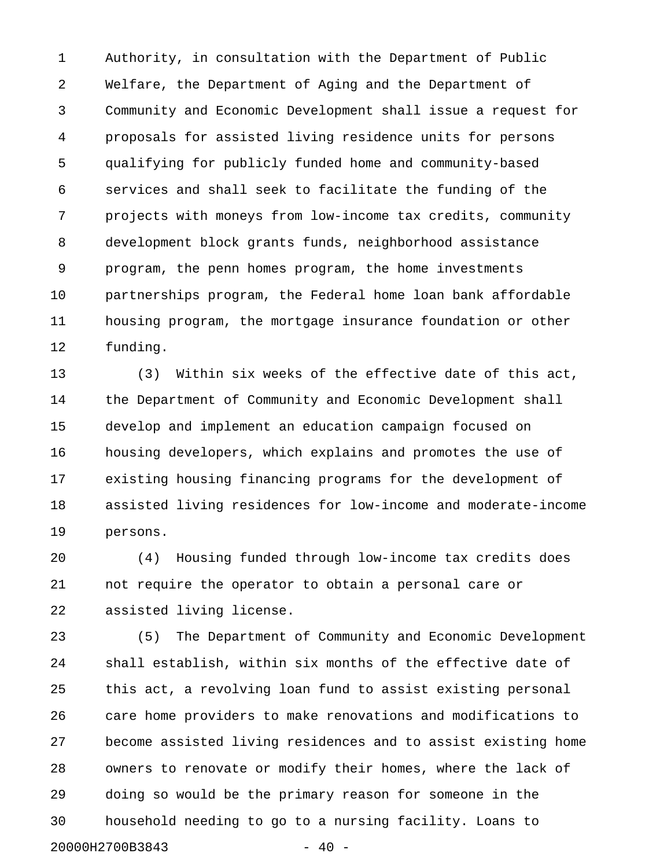1 Authority, in consultation with the Department of Public 2 Welfare, the Department of Aging and the Department of 3 Community and Economic Development shall issue a request for 4 proposals for assisted living residence units for persons 5 qualifying for publicly funded home and community-based 6 services and shall seek to facilitate the funding of the 7 projects with moneys from low-income tax credits, community 8 development block grants funds, neighborhood assistance 9 program, the penn homes program, the home investments 10 partnerships program, the Federal home loan bank affordable 11 housing program, the mortgage insurance foundation or other 12 funding.

13 (3) Within six weeks of the effective date of this act, 14 the Department of Community and Economic Development shall 15 develop and implement an education campaign focused on 16 housing developers, which explains and promotes the use of 17 existing housing financing programs for the development of 18 assisted living residences for low-income and moderate-income 19 persons.

20 (4) Housing funded through low-income tax credits does 21 not require the operator to obtain a personal care or 22 assisted living license.

23 (5) The Department of Community and Economic Development 24 shall establish, within six months of the effective date of 25 this act, a revolving loan fund to assist existing personal 26 care home providers to make renovations and modifications to 27 become assisted living residences and to assist existing home 28 owners to renovate or modify their homes, where the lack of 29 doing so would be the primary reason for someone in the 30 household needing to go to a nursing facility. Loans to 20000H2700B3843 - 40 -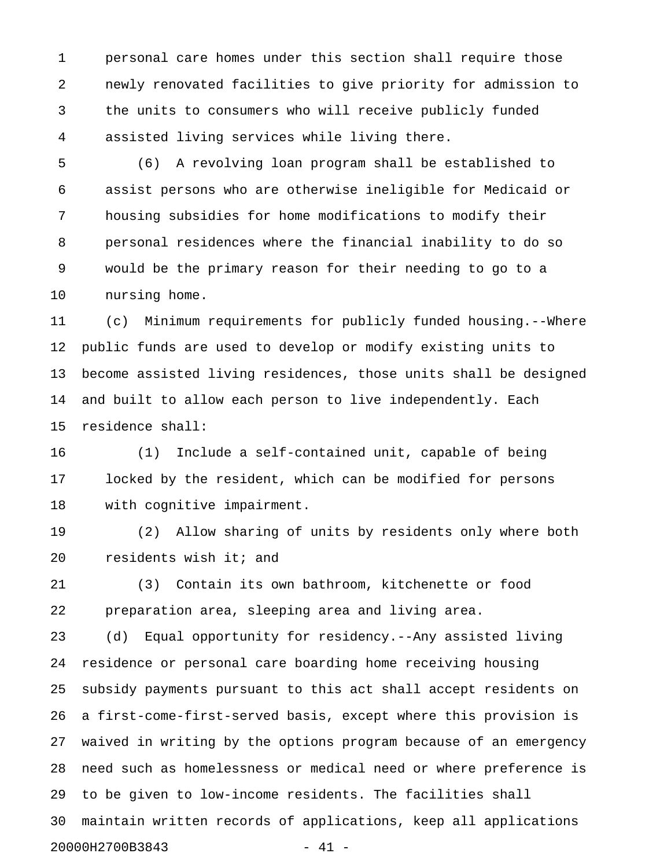1 personal care homes under this section shall require those 2 newly renovated facilities to give priority for admission to 3 the units to consumers who will receive publicly funded 4 assisted living services while living there.

5 (6) A revolving loan program shall be established to 6 assist persons who are otherwise ineligible for Medicaid or 7 housing subsidies for home modifications to modify their 8 personal residences where the financial inability to do so 9 would be the primary reason for their needing to go to a 10 nursing home.

11 (c) Minimum requirements for publicly funded housing.--Where 12 public funds are used to develop or modify existing units to 13 become assisted living residences, those units shall be designed 14 and built to allow each person to live independently. Each 15 residence shall:

16 (1) Include a self-contained unit, capable of being 17 locked by the resident, which can be modified for persons 18 with cognitive impairment.

19 (2) Allow sharing of units by residents only where both 20 residents wish it; and

21 (3) Contain its own bathroom, kitchenette or food 22 preparation area, sleeping area and living area.

23 (d) Equal opportunity for residency.--Any assisted living 24 residence or personal care boarding home receiving housing 25 subsidy payments pursuant to this act shall accept residents on 26 a first-come-first-served basis, except where this provision is 27 waived in writing by the options program because of an emergency 28 need such as homelessness or medical need or where preference is 29 to be given to low-income residents. The facilities shall 30 maintain written records of applications, keep all applications 20000H2700B3843 - 41 -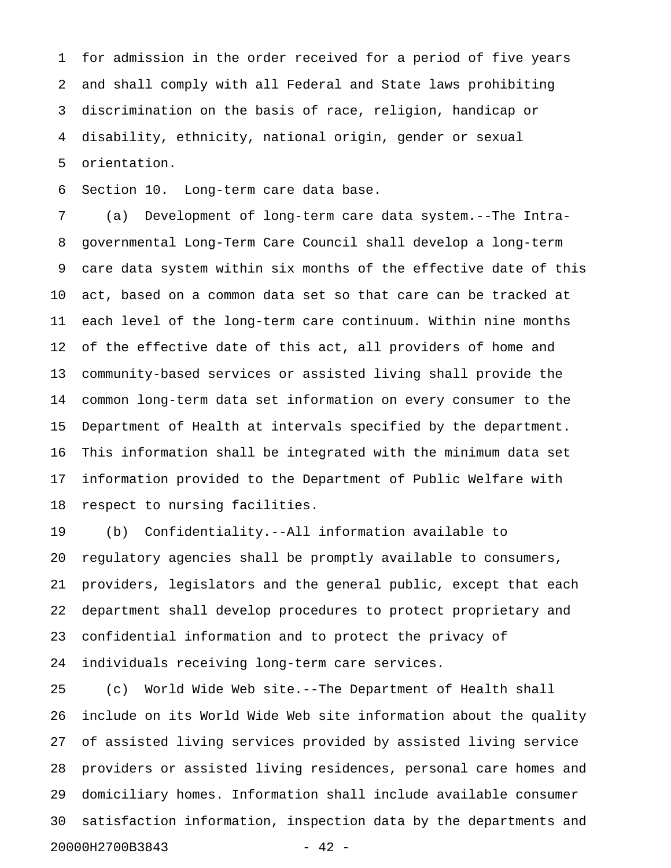1 for admission in the order received for a period of five years 2 and shall comply with all Federal and State laws prohibiting 3 discrimination on the basis of race, religion, handicap or 4 disability, ethnicity, national origin, gender or sexual 5 orientation.

6 Section 10. Long-term care data base.

7 (a) Development of long-term care data system.--The Intra-8 governmental Long-Term Care Council shall develop a long-term 9 care data system within six months of the effective date of this 10 act, based on a common data set so that care can be tracked at 11 each level of the long-term care continuum. Within nine months 12 of the effective date of this act, all providers of home and 13 community-based services or assisted living shall provide the 14 common long-term data set information on every consumer to the 15 Department of Health at intervals specified by the department. 16 This information shall be integrated with the minimum data set 17 information provided to the Department of Public Welfare with 18 respect to nursing facilities.

19 (b) Confidentiality.--All information available to 20 regulatory agencies shall be promptly available to consumers, 21 providers, legislators and the general public, except that each 22 department shall develop procedures to protect proprietary and 23 confidential information and to protect the privacy of 24 individuals receiving long-term care services.

25 (c) World Wide Web site.--The Department of Health shall 26 include on its World Wide Web site information about the quality 27 of assisted living services provided by assisted living service 28 providers or assisted living residences, personal care homes and 29 domiciliary homes. Information shall include available consumer 30 satisfaction information, inspection data by the departments and 20000H2700B3843 - 42 -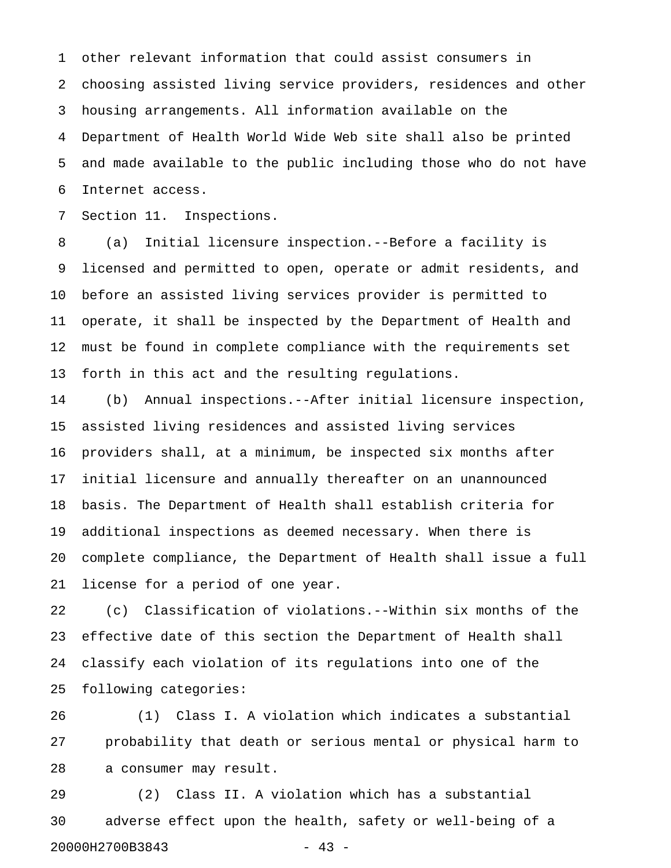1 other relevant information that could assist consumers in 2 choosing assisted living service providers, residences and other 3 housing arrangements. All information available on the 4 Department of Health World Wide Web site shall also be printed 5 and made available to the public including those who do not have 6 Internet access.

7 Section 11. Inspections.

8 (a) Initial licensure inspection.--Before a facility is 9 licensed and permitted to open, operate or admit residents, and 10 before an assisted living services provider is permitted to 11 operate, it shall be inspected by the Department of Health and 12 must be found in complete compliance with the requirements set 13 forth in this act and the resulting regulations.

14 (b) Annual inspections.--After initial licensure inspection, 15 assisted living residences and assisted living services 16 providers shall, at a minimum, be inspected six months after 17 initial licensure and annually thereafter on an unannounced 18 basis. The Department of Health shall establish criteria for 19 additional inspections as deemed necessary. When there is 20 complete compliance, the Department of Health shall issue a full 21 license for a period of one year.

22 (c) Classification of violations.--Within six months of the 23 effective date of this section the Department of Health shall 24 classify each violation of its regulations into one of the 25 following categories:

26 (1) Class I. A violation which indicates a substantial 27 probability that death or serious mental or physical harm to 28 a consumer may result.

29 (2) Class II. A violation which has a substantial 30 adverse effect upon the health, safety or well-being of a 20000H2700B3843 - 43 -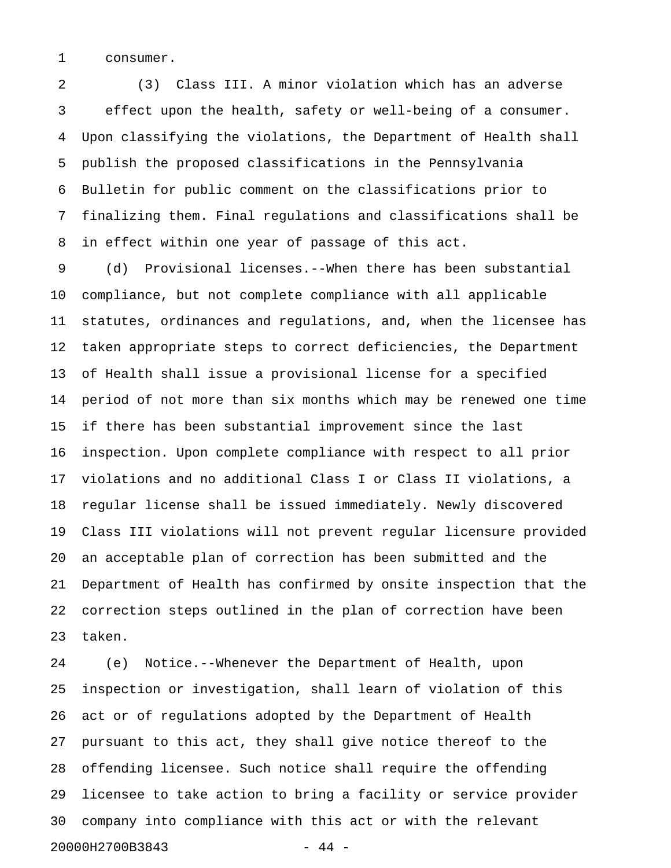1 consumer.

2 (3) Class III. A minor violation which has an adverse 3 effect upon the health, safety or well-being of a consumer. 4 Upon classifying the violations, the Department of Health shall 5 publish the proposed classifications in the Pennsylvania 6 Bulletin for public comment on the classifications prior to 7 finalizing them. Final regulations and classifications shall be 8 in effect within one year of passage of this act.

9 (d) Provisional licenses.--When there has been substantial 10 compliance, but not complete compliance with all applicable 11 statutes, ordinances and regulations, and, when the licensee has 12 taken appropriate steps to correct deficiencies, the Department 13 of Health shall issue a provisional license for a specified 14 period of not more than six months which may be renewed one time 15 if there has been substantial improvement since the last 16 inspection. Upon complete compliance with respect to all prior 17 violations and no additional Class I or Class II violations, a 18 regular license shall be issued immediately. Newly discovered 19 Class III violations will not prevent regular licensure provided 20 an acceptable plan of correction has been submitted and the 21 Department of Health has confirmed by onsite inspection that the 22 correction steps outlined in the plan of correction have been 23 taken.

24 (e) Notice.--Whenever the Department of Health, upon 25 inspection or investigation, shall learn of violation of this 26 act or of regulations adopted by the Department of Health 27 pursuant to this act, they shall give notice thereof to the 28 offending licensee. Such notice shall require the offending 29 licensee to take action to bring a facility or service provider 30 company into compliance with this act or with the relevant 20000H2700B3843 - 44 -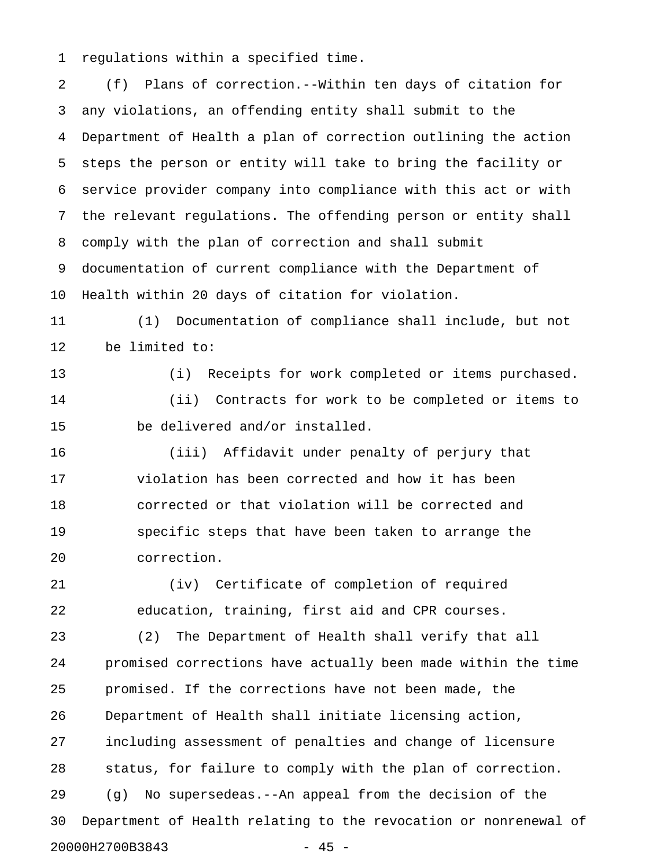1 regulations within a specified time.

2 (f) Plans of correction.--Within ten days of citation for 3 any violations, an offending entity shall submit to the 4 Department of Health a plan of correction outlining the action 5 steps the person or entity will take to bring the facility or 6 service provider company into compliance with this act or with 7 the relevant regulations. The offending person or entity shall 8 comply with the plan of correction and shall submit 9 documentation of current compliance with the Department of 10 Health within 20 days of citation for violation. 11 (1) Documentation of compliance shall include, but not 12 be limited to: 13 (i) Receipts for work completed or items purchased. 14 (ii) Contracts for work to be completed or items to 15 be delivered and/or installed. 16 (iii) Affidavit under penalty of perjury that 17 violation has been corrected and how it has been 18 corrected or that violation will be corrected and 19 specific steps that have been taken to arrange the 20 correction. 21 (iv) Certificate of completion of required 22 education, training, first aid and CPR courses. 23 (2) The Department of Health shall verify that all 24 promised corrections have actually been made within the time 25 promised. If the corrections have not been made, the 26 Department of Health shall initiate licensing action, 27 including assessment of penalties and change of licensure 28 status, for failure to comply with the plan of correction. 29 (g) No supersedeas.--An appeal from the decision of the 30 Department of Health relating to the revocation or nonrenewal of 20000H2700B3843 - 45 -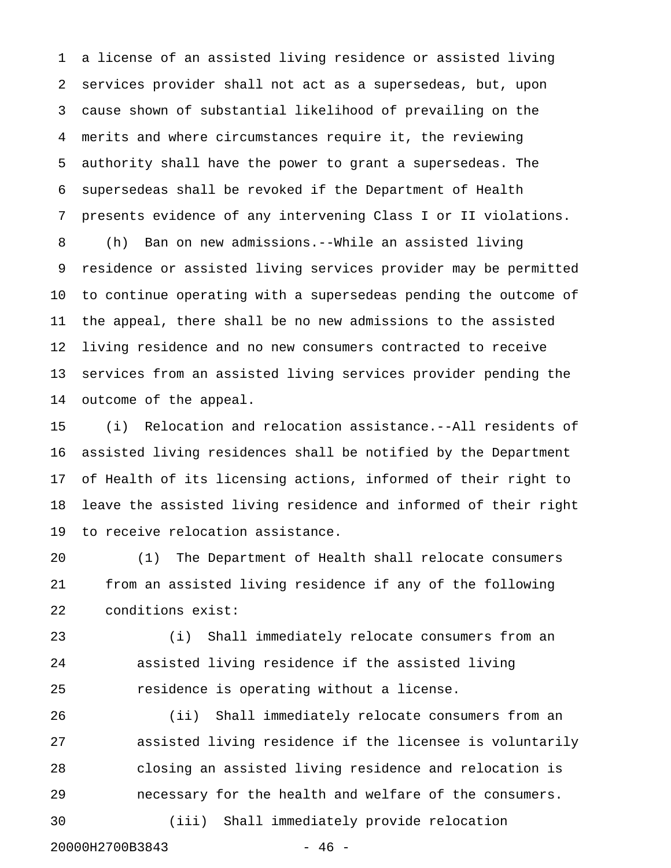1 a license of an assisted living residence or assisted living 2 services provider shall not act as a supersedeas, but, upon 3 cause shown of substantial likelihood of prevailing on the 4 merits and where circumstances require it, the reviewing 5 authority shall have the power to grant a supersedeas. The 6 supersedeas shall be revoked if the Department of Health 7 presents evidence of any intervening Class I or II violations. 8 (h) Ban on new admissions.--While an assisted living 9 residence or assisted living services provider may be permitted 10 to continue operating with a supersedeas pending the outcome of 11 the appeal, there shall be no new admissions to the assisted 12 living residence and no new consumers contracted to receive 13 services from an assisted living services provider pending the 14 outcome of the appeal.

15 (i) Relocation and relocation assistance.--All residents of 16 assisted living residences shall be notified by the Department 17 of Health of its licensing actions, informed of their right to 18 leave the assisted living residence and informed of their right 19 to receive relocation assistance.

20 (1) The Department of Health shall relocate consumers 21 from an assisted living residence if any of the following 22 conditions exist:

23 (i) Shall immediately relocate consumers from an 24 assisted living residence if the assisted living 25 residence is operating without a license.

26 (ii) Shall immediately relocate consumers from an 27 assisted living residence if the licensee is voluntarily 28 closing an assisted living residence and relocation is 29 necessary for the health and welfare of the consumers. 30 (iii) Shall immediately provide relocation 20000H2700B3843 - 46 -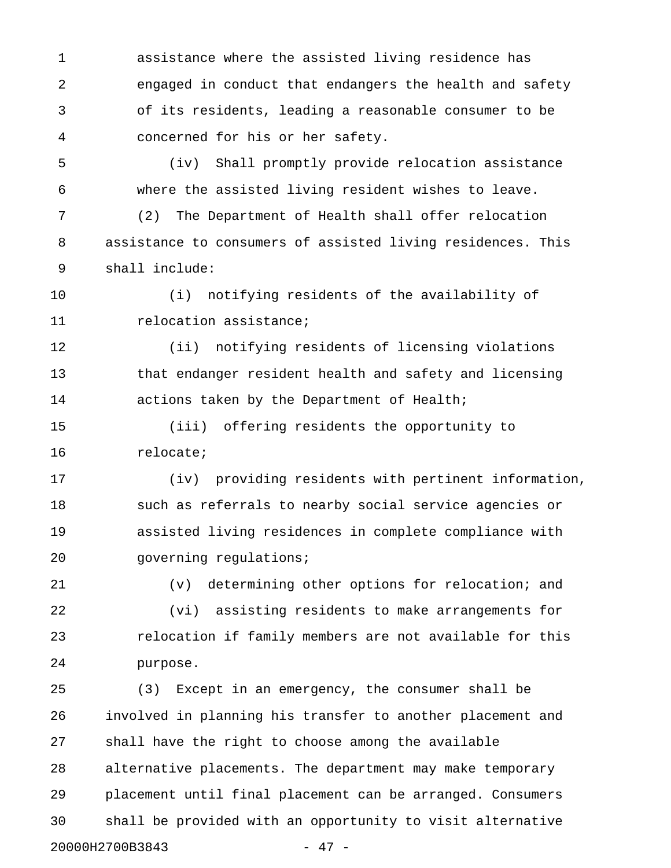1 assistance where the assisted living residence has 2 engaged in conduct that endangers the health and safety 3 of its residents, leading a reasonable consumer to be 4 concerned for his or her safety.

5 (iv) Shall promptly provide relocation assistance 6 where the assisted living resident wishes to leave.

7 (2) The Department of Health shall offer relocation 8 assistance to consumers of assisted living residences. This 9 shall include:

10 (i) notifying residents of the availability of 11 **11** relocation assistance;

12 (ii) notifying residents of licensing violations 13 that endanger resident health and safety and licensing 14 actions taken by the Department of Health;

15 (iii) offering residents the opportunity to 16 relocate;

17 (iv) providing residents with pertinent information, 18 such as referrals to nearby social service agencies or 19 assisted living residences in complete compliance with 20 governing regulations;

21 (v) determining other options for relocation; and

22 (vi) assisting residents to make arrangements for 23 **relocation if family members are not available for this** 24 purpose.

25 (3) Except in an emergency, the consumer shall be 26 involved in planning his transfer to another placement and 27 shall have the right to choose among the available 28 alternative placements. The department may make temporary 29 placement until final placement can be arranged. Consumers 30 shall be provided with an opportunity to visit alternative 20000H2700B3843 - 47 -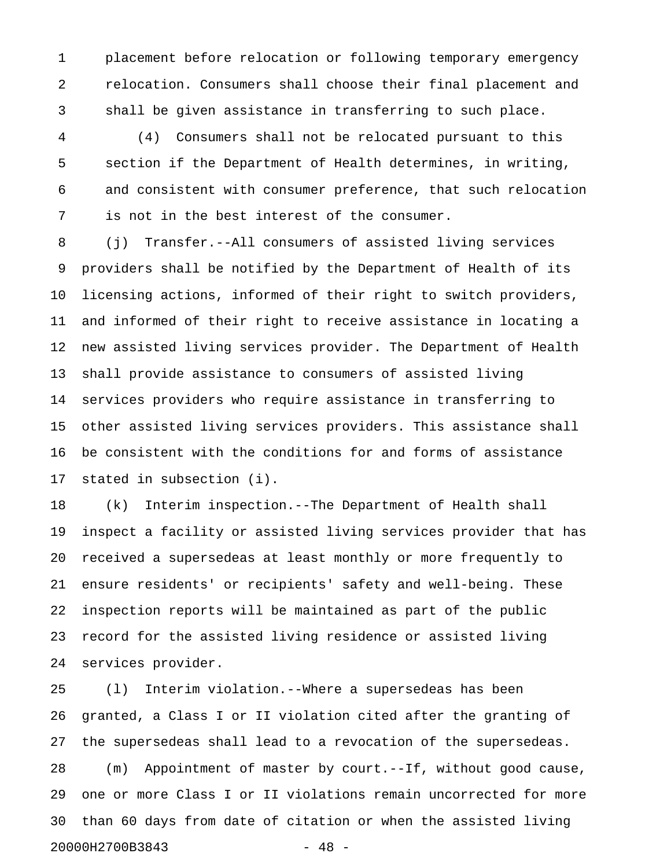1 placement before relocation or following temporary emergency 2 relocation. Consumers shall choose their final placement and 3 shall be given assistance in transferring to such place.

4 (4) Consumers shall not be relocated pursuant to this 5 section if the Department of Health determines, in writing, 6 and consistent with consumer preference, that such relocation 7 is not in the best interest of the consumer.

8 (j) Transfer.--All consumers of assisted living services 9 providers shall be notified by the Department of Health of its 10 licensing actions, informed of their right to switch providers, 11 and informed of their right to receive assistance in locating a 12 new assisted living services provider. The Department of Health 13 shall provide assistance to consumers of assisted living 14 services providers who require assistance in transferring to 15 other assisted living services providers. This assistance shall 16 be consistent with the conditions for and forms of assistance 17 stated in subsection (i).

18 (k) Interim inspection.--The Department of Health shall 19 inspect a facility or assisted living services provider that has 20 received a supersedeas at least monthly or more frequently to 21 ensure residents' or recipients' safety and well-being. These 22 inspection reports will be maintained as part of the public 23 record for the assisted living residence or assisted living 24 services provider.

25 (l) Interim violation.--Where a supersedeas has been 26 granted, a Class I or II violation cited after the granting of 27 the supersedeas shall lead to a revocation of the supersedeas. 28 (m) Appointment of master by court.--If, without good cause, 29 one or more Class I or II violations remain uncorrected for more 30 than 60 days from date of citation or when the assisted living 20000H2700B3843 - 48 -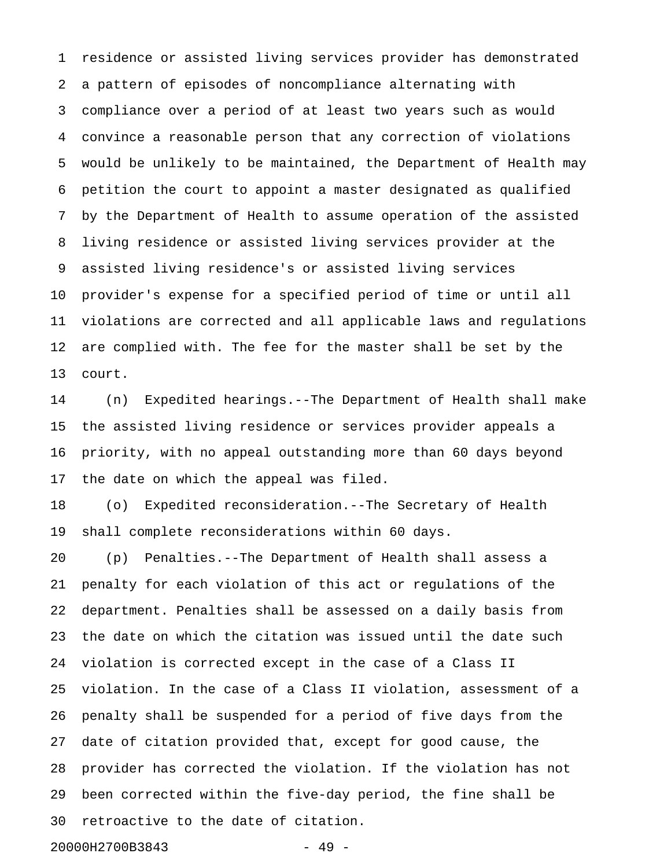1 residence or assisted living services provider has demonstrated 2 a pattern of episodes of noncompliance alternating with 3 compliance over a period of at least two years such as would 4 convince a reasonable person that any correction of violations 5 would be unlikely to be maintained, the Department of Health may 6 petition the court to appoint a master designated as qualified 7 by the Department of Health to assume operation of the assisted 8 living residence or assisted living services provider at the 9 assisted living residence's or assisted living services 10 provider's expense for a specified period of time or until all 11 violations are corrected and all applicable laws and regulations 12 are complied with. The fee for the master shall be set by the 13 court.

14 (n) Expedited hearings.--The Department of Health shall make 15 the assisted living residence or services provider appeals a 16 priority, with no appeal outstanding more than 60 days beyond 17 the date on which the appeal was filed.

18 (o) Expedited reconsideration.--The Secretary of Health 19 shall complete reconsiderations within 60 days.

20 (p) Penalties.--The Department of Health shall assess a 21 penalty for each violation of this act or regulations of the 22 department. Penalties shall be assessed on a daily basis from 23 the date on which the citation was issued until the date such 24 violation is corrected except in the case of a Class II 25 violation. In the case of a Class II violation, assessment of a 26 penalty shall be suspended for a period of five days from the 27 date of citation provided that, except for good cause, the 28 provider has corrected the violation. If the violation has not 29 been corrected within the five-day period, the fine shall be 30 retroactive to the date of citation.

20000H2700B3843 - 49 -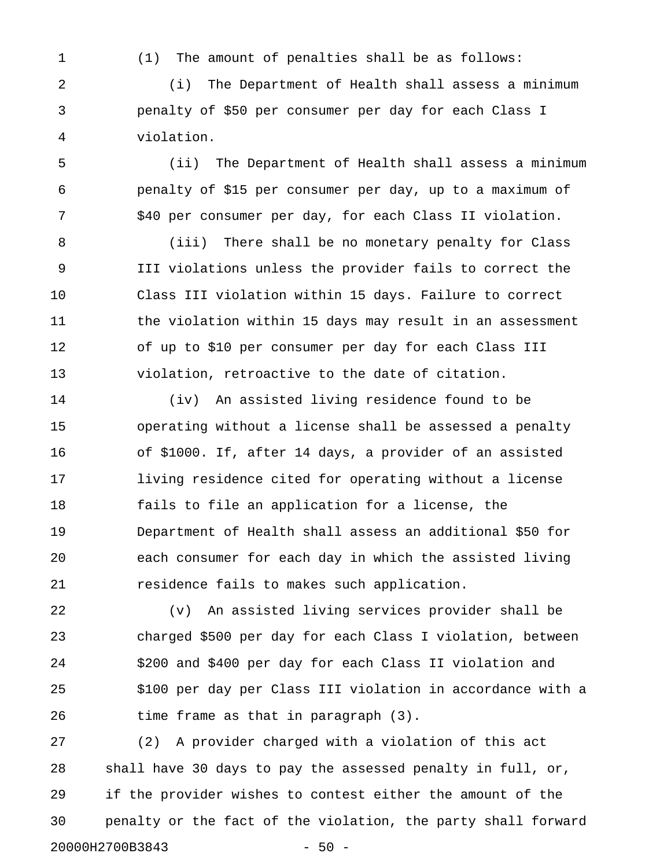1 (1) The amount of penalties shall be as follows:

2 (i) The Department of Health shall assess a minimum 3 penalty of \$50 per consumer per day for each Class I 4 violation.

5 (ii) The Department of Health shall assess a minimum 6 penalty of \$15 per consumer per day, up to a maximum of 7 \$40 per consumer per day, for each Class II violation.

8 (iii) There shall be no monetary penalty for Class 9 III violations unless the provider fails to correct the 10 Class III violation within 15 days. Failure to correct 11 the violation within 15 days may result in an assessment 12 of up to \$10 per consumer per day for each Class III 13 violation, retroactive to the date of citation.

14 (iv) An assisted living residence found to be 15 operating without a license shall be assessed a penalty 16 of \$1000. If, after 14 days, a provider of an assisted 17 living residence cited for operating without a license 18 fails to file an application for a license, the 19 Department of Health shall assess an additional \$50 for 20 each consumer for each day in which the assisted living 21 residence fails to makes such application.

22 (v) An assisted living services provider shall be 23 charged \$500 per day for each Class I violation, between 24 \$200 and \$400 per day for each Class II violation and 25 \$100 per day per Class III violation in accordance with a 26 time frame as that in paragraph (3).

27 (2) A provider charged with a violation of this act 28 shall have 30 days to pay the assessed penalty in full, or, 29 if the provider wishes to contest either the amount of the 30 penalty or the fact of the violation, the party shall forward 20000H2700B3843 - 50 -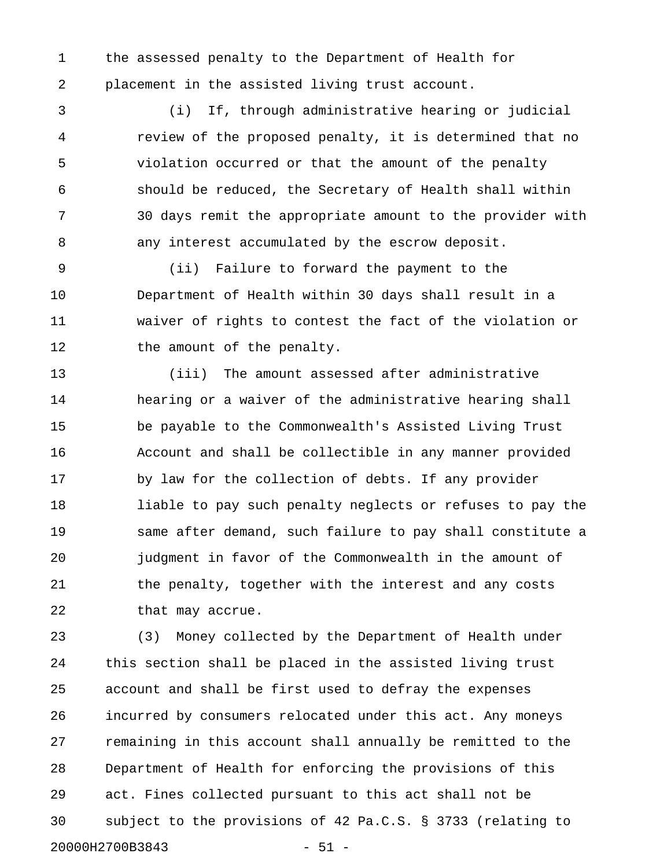1 the assessed penalty to the Department of Health for 2 placement in the assisted living trust account.

3 (i) If, through administrative hearing or judicial 4 review of the proposed penalty, it is determined that no 5 violation occurred or that the amount of the penalty 6 should be reduced, the Secretary of Health shall within 7 30 days remit the appropriate amount to the provider with 8 any interest accumulated by the escrow deposit.

9 (ii) Failure to forward the payment to the 10 Department of Health within 30 days shall result in a 11 waiver of rights to contest the fact of the violation or 12 the amount of the penalty.

13 (iii) The amount assessed after administrative 14 hearing or a waiver of the administrative hearing shall 15 be payable to the Commonwealth's Assisted Living Trust 16 Account and shall be collectible in any manner provided 17 by law for the collection of debts. If any provider 18 liable to pay such penalty neglects or refuses to pay the 19 same after demand, such failure to pay shall constitute a 20 judgment in favor of the Commonwealth in the amount of 21 the penalty, together with the interest and any costs 22 that may accrue.

23 (3) Money collected by the Department of Health under 24 this section shall be placed in the assisted living trust 25 account and shall be first used to defray the expenses 26 incurred by consumers relocated under this act. Any moneys 27 remaining in this account shall annually be remitted to the 28 Department of Health for enforcing the provisions of this 29 act. Fines collected pursuant to this act shall not be 30 subject to the provisions of 42 Pa.C.S. § 3733 (relating to 20000H2700B3843 - 51 -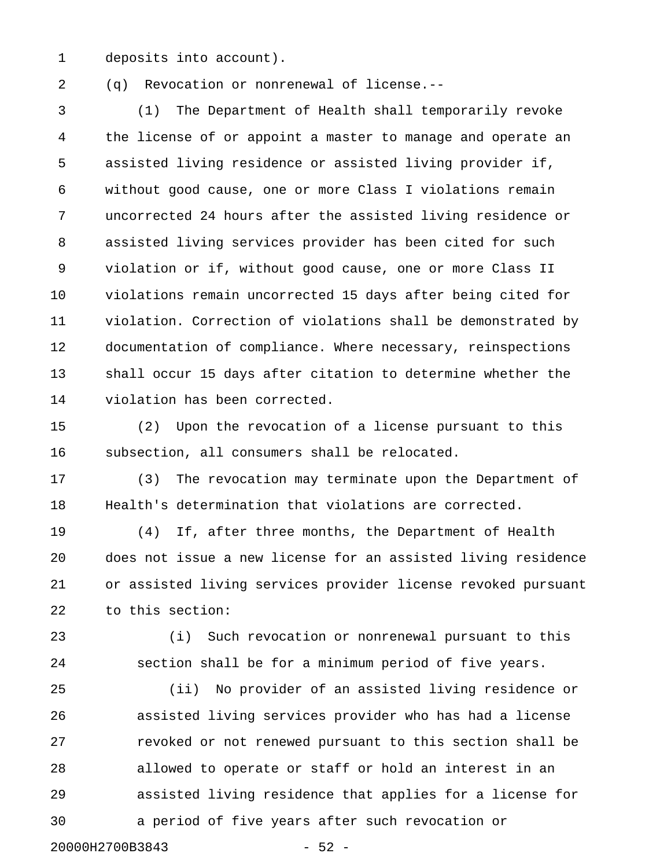1 deposits into account).

2 (q) Revocation or nonrenewal of license.--

3 (1) The Department of Health shall temporarily revoke 4 the license of or appoint a master to manage and operate an 5 assisted living residence or assisted living provider if, 6 without good cause, one or more Class I violations remain 7 uncorrected 24 hours after the assisted living residence or 8 assisted living services provider has been cited for such 9 violation or if, without good cause, one or more Class II 10 violations remain uncorrected 15 days after being cited for 11 violation. Correction of violations shall be demonstrated by 12 documentation of compliance. Where necessary, reinspections 13 shall occur 15 days after citation to determine whether the 14 violation has been corrected.

15 (2) Upon the revocation of a license pursuant to this 16 subsection, all consumers shall be relocated.

17 (3) The revocation may terminate upon the Department of 18 Health's determination that violations are corrected.

19 (4) If, after three months, the Department of Health 20 does not issue a new license for an assisted living residence 21 or assisted living services provider license revoked pursuant 22 to this section:

23 (i) Such revocation or nonrenewal pursuant to this 24 section shall be for a minimum period of five years.

25 (ii) No provider of an assisted living residence or 26 assisted living services provider who has had a license 27 revoked or not renewed pursuant to this section shall be 28 allowed to operate or staff or hold an interest in an 29 assisted living residence that applies for a license for 30 a period of five years after such revocation or

20000H2700B3843 - 52 -